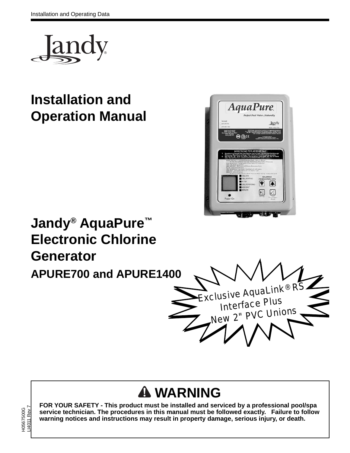

# **Installation and Operation Manual**



**Jandy® AquaPure™ Electronic Chlorine Generator APURE700 and APURE1400 Exclusive AquaLink® RS** Interface Plus New 2" PVC Unions

# **WARNING**

FOR YOUR SAFETY - This product must be installed and serviced by a professional pool/spa service technician. The procedures in this manual must be followed exactly. Failure to follow **warning notices and instructions may result in property damage, serious injury, or death.**

H0567500G<br>LI4011 Rev 7 LI4011 Rev 7 H0567500G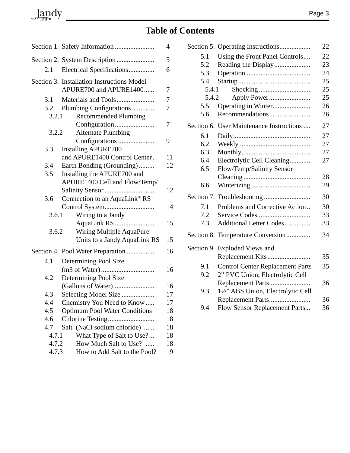# **Table of Contents**

|              |                                                        | 4  |
|--------------|--------------------------------------------------------|----|
|              |                                                        | 5  |
| 2.1          | Electrical Specifications                              | 6  |
|              | Section 3. Installation Instructions Model             |    |
|              | APURE700 and APURE1400                                 | 7  |
| 3.1          |                                                        | 7  |
| 3.2<br>3.2.1 | Plumbing Configurations<br><b>Recommended Plumbing</b> | 7  |
|              |                                                        | 7  |
| 3.2.2        | <b>Alternate Plumbing</b>                              |    |
|              | Configurations                                         | 9  |
| 3.3          | <b>Installing APURE700</b>                             |    |
|              | and APURE1400 Control Center.                          | 11 |
| 3.4          | Earth Bonding (Grounding)                              | 12 |
| 3.5          | Installing the APURE700 and                            |    |
|              | APURE1400 Cell and Flow/Temp/                          |    |
|              | Salinity Sensor                                        | 12 |
| 3.6          | Connection to an AquaLink <sup>®</sup> RS              |    |
|              |                                                        | 14 |
| 3.6.1        | Wiring to a Jandy                                      |    |
|              | AquaLink RS                                            | 15 |
| 3.6.2        | Wiring Multiple AquaPure                               |    |
|              | Units to a Jandy AquaLink RS                           | 15 |
|              | Section 4. Pool Water Preparation                      | 16 |
| 4.1          | Determining Pool Size                                  |    |
|              |                                                        | 16 |
| 4.2          | Determining Pool Size                                  |    |
|              | (Gallons of Water)                                     | 16 |
| 4.3          | Selecting Model Size                                   | 17 |
| 4.4          | Chemistry You Need to Know                             | 17 |
| 4.5          | <b>Optimum Pool Water Conditions</b>                   | 18 |
| 4.6          | Chlorine Testing                                       | 18 |
| 4.7          | Salt (NaCl sodium chloride)                            | 18 |
| 4.7.1        | What Type of Salt to Use?                              | 18 |
| 4.7.2        | How Much Salt to Use?                                  | 18 |
| 4.7.3        | How to Add Salt to the Pool?                           | 19 |

|            |                                          | 22 |
|------------|------------------------------------------|----|
| 5.1        | Using the Front Panel Controls           | 22 |
| 5.2        | Reading the Display                      | 23 |
| 5.3        |                                          | 24 |
| 5.4        |                                          | 25 |
| 5.4.1      |                                          | 25 |
| 5.4.2      |                                          | 25 |
| 5.5        | Operating in Winter                      | 26 |
| 5.6        |                                          | 26 |
|            | Section 6. User Maintenance Instructions | 27 |
| 6.1        |                                          | 27 |
| 6.2        |                                          | 27 |
| 6.3        |                                          | 27 |
| 6.4        | Electrolytic Cell Cleaning               | 27 |
| 6.5        | Flow/Temp/Salinity Sensor                |    |
|            |                                          | 28 |
| 6.6        |                                          | 29 |
| Section 7. |                                          | 30 |
| 7.1        | Problems and Corrective Action           | 30 |
| 7.2        |                                          | 33 |
| 7.3        | Additional Letter Codes                  | 33 |
|            | Section 8. Temperature Conversion        | 34 |
|            | Section 9. Exploded Views and            |    |
|            |                                          | 35 |
| 9.1        | <b>Control Center Replacement Parts</b>  | 35 |
| 9.2        | 2" PVC Union, Electrolytic Cell          |    |
|            | Replacement Parts                        | 36 |
| 9.3        | 11/2" ABS Union, Electrolytic Cell       |    |
|            | Replacement Parts                        | 36 |
| 9.4        | Flow Sensor Replacement Parts            | 36 |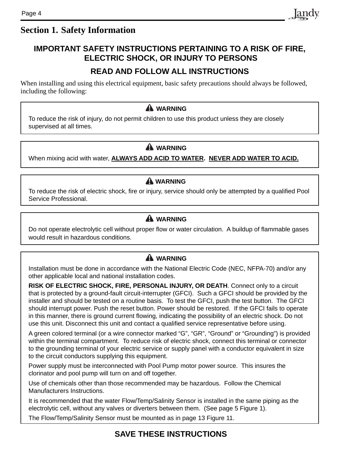# **Section 1. Safety Information**

# **IMPORTANT SAFETY INSTRUCTIONS PERTAINING TO A RISK OF FIRE, ELECTRIC SHOCK, OR INJURY TO PERSONS**

landv

# **READ AND FOLLOW ALL INSTRUCTIONS**

When installing and using this electrical equipment, basic safety precautions should always be followed, including the following:

## **WARNING**

To reduce the risk of injury, do not permit children to use this product unless they are closely supervised at all times.

# **WARNING**

When mixing acid with water, **ALWAYS ADD ACID TO WATER. NEVER ADD WATER TO ACID.**

## **WARNING**

To reduce the risk of electric shock, fire or injury, service should only be attempted by a qualified Pool Service Professional.

## **WARNING**

Do not operate electrolytic cell without proper flow or water circulation. A buildup of flammable gases would result in hazardous conditions.

## **WARNING**

Installation must be done in accordance with the National Electric Code (NEC, NFPA-70) and/or any other applicable local and national installation codes.

**RISK OF ELECTRIC SHOCK, FIRE, PERSONAL INJURY, OR DEATH**. Connect only to a circuit that is protected by a ground-fault circuit-interrupter (GFCI). Such a GFCI should be provided by the installer and should be tested on a routine basis. To test the GFCI, push the test button. The GFCI should interrupt power. Push the reset button. Power should be restored. If the GFCI fails to operate in this manner, there is ground current flowing, indicating the possibility of an electric shock. Do not use this unit. Disconnect this unit and contact a qualified service representative before using.

A green colored terminal (or a wire connector marked "G", "GR", "Ground" or "Grounding") is provided within the terminal compartment. To reduce risk of electric shock, connect this terminal or connector to the grounding terminal of your electric service or supply panel with a conductor equivalent in size to the circuit conductors supplying this equipment.

Power supply must be interconnected with Pool Pump motor power source. This insures the clorinator and pool pump will turn on and off together.

Use of chemicals other than those recommended may be hazardous. Follow the Chemical Manufacturers Instructions.

It is recommended that the water Flow/Temp/Salinity Sensor is installed in the same piping as the electrolytic cell, without any valves or diverters between them. (See page 5 Figure 1).

The Flow/Temp/Salinity Sensor must be mounted as in page 13 Figure 11.

# **SAVE THESE INSTRUCTIONS**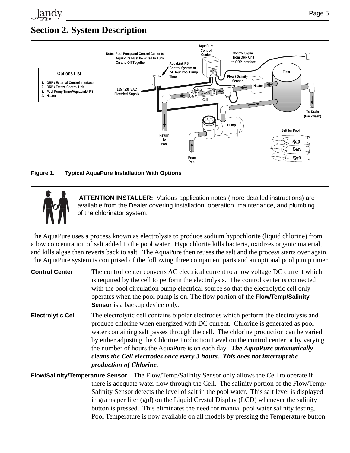

# **Section 2. System Description**



**Figure 1. Typical AquaPure Installation With Options**



 **ATTENTION INSTALLER:** Various application notes (more detailed instructions) are available from the Dealer covering installation, operation, maintenance, and plumbing of the chlorinator system.

The AquaPure uses a process known as electrolysis to produce sodium hypochlorite (liquid chlorine) from a low concentration of salt added to the pool water. Hypochlorite kills bacteria, oxidizes organic material, and kills algae then reverts back to salt. The AquaPure then reuses the salt and the process starts over again. The AquaPure system is comprised of the following three component parts and an optional pool pump timer.

| <b>Control Center</b>    | The control center converts AC electrical current to a low voltage DC current which<br>is required by the cell to perform the electrolysis. The control center is connected<br>with the pool circulation pump electrical source so that the electrolytic cell only<br>operates when the pool pump is on. The flow portion of the <b>Flow/Temp/Salinity</b><br><b>Sensor</b> is a backup device only. |
|--------------------------|------------------------------------------------------------------------------------------------------------------------------------------------------------------------------------------------------------------------------------------------------------------------------------------------------------------------------------------------------------------------------------------------------|
| <b>Electrolytic Cell</b> | The electrolytic cell contains bipolar electrodes which perform the electrolysis and<br>produce chlorine when energized with DC current. Chlorine is generated as pool<br>water containing salt passes through the cell. The chlorine production can be varied                                                                                                                                       |

by either adjusting the Chlorine Production Level on the control center or by varying the number of hours the AquaPure is on each day. *The AquaPure automatically cleans the Cell electrodes once every 3 hours. This does not interrupt the production of Chlorine.*

**Flow/Salinity/Temperature Sensor** The Flow/Temp/Salinity Sensor only allows the Cell to operate if there is adequate water flow through the Cell. The salinity portion of the Flow/Temp/ Salinity Sensor detects the level of salt in the pool water. This salt level is displayed in grams per liter (gpl) on the Liquid Crystal Display (LCD) whenever the salinity button is pressed. This eliminates the need for manual pool water salinity testing. Pool Temperature is now available on all models by pressing the **Temperature** button.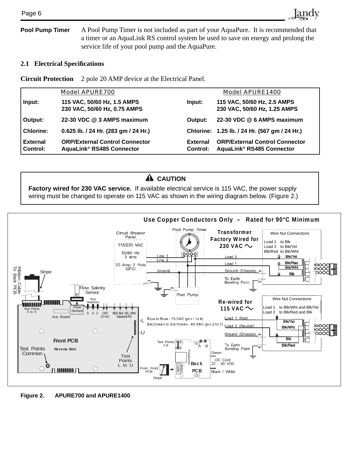**Pool Pump Timer** A Pool Pump Timer is not included as part of your AquaPure. It is recommended that a timer or an AquaLink RS control system be used to save on energy and prolong the service life of your pool pump and the AquaPure.

**Jandy** 

### **2.1 Electrical Specifi cations**

**Circuit Protection** 2 pole 20 AMP device at the Electrical Panel.

|                             | <b>Model APURE700</b>                                              |                      | <b>Model APURE1400</b>                                             |
|-----------------------------|--------------------------------------------------------------------|----------------------|--------------------------------------------------------------------|
| Input:                      | 115 VAC, 50/60 Hz, 1.5 AMPS<br>230 VAC, 50/60 Hz, 0.75 AMPS        | Input:               | 115 VAC, 50/60 Hz, 2.5 AMPS<br>230 VAC, 50/60 Hz, 1.25 AMPS        |
| Output:                     | 22-30 VDC @ 3 AMPS maximum                                         | Output:              | 22-30 VDC @ 6 AMPS maximum                                         |
| Chlorine:                   | 0.625 lb. / 24 Hr. (283 gm / 24 Hr.)                               |                      | Chlorine: 1.25 lb. / 24 Hr. (567 gm / 24 Hr.)                      |
| <b>External</b><br>Control: | <b>ORP/External Control Connector</b><br>AquaLink® RS485 Connector | External<br>Control: | <b>ORP/External Control Connector</b><br>AquaLink® RS485 Connector |

## **A** CAUTION

**Factory wired for 230 VAC service.** If available electrical service is 115 VAC, the power supply wiring must be changed to operate on 115 VAC as shown in the wiring diagram below. (Figure 2.)



**Figure 2. APURE700 and APURE1400**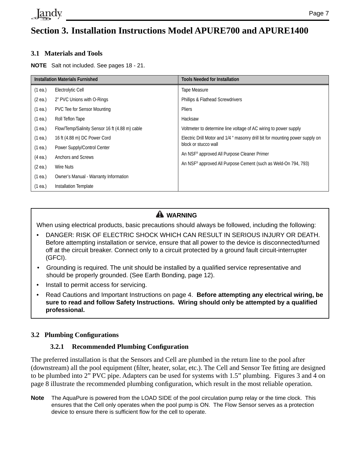

# **Section 3. Installation Instructions Model APURE700 and APURE1400**

### **3.1 Materials and Tools**

**NOTE** Salt not included. See pages 18 - 21.

|                   | Installation Materials Furnished               | <b>Tools Needed for Installation</b>                                          |  |
|-------------------|------------------------------------------------|-------------------------------------------------------------------------------|--|
| $(1$ ea.)         | Electrolytic Cell                              | Tape Measure                                                                  |  |
| $(2 \text{ ea.})$ | 2" PVC Unions with O-Rings                     | Phillips & Flathead Screwdrivers                                              |  |
| $(1$ ea.)         | <b>PVC Tee for Sensor Mounting</b>             | <b>Pliers</b>                                                                 |  |
| $(1$ ea.)         | Roll Teflon Tape                               | Hacksaw                                                                       |  |
| $(1$ ea.)         | Flow/Temp/Salinity Sensor 16 ft (4.88 m) cable | Voltmeter to determine line voltage of AC wiring to power supply              |  |
| (1ea.)            | 16 ft (4.88 m) DC Power Cord                   | Electric Drill Motor and 1/4 " masonry drill bit for mounting power supply on |  |
| $(1$ ea.)         | Power Supply/Control Center                    | block or stucco wall                                                          |  |
| (4ea.)            | <b>Anchors and Screws</b>                      | An NSF® approved All Purpose Cleaner Primer                                   |  |
| $(2 \text{ ea.})$ | Wire Nuts                                      | An NSF® approved All Purpose Cement (such as Weld-On 794, 793)                |  |
| $(1$ ea.)         | Owner's Manual - Warranty Information          |                                                                               |  |
| (1ea.)            | <b>Installation Template</b>                   |                                                                               |  |

## **A** WARNING

When using electrical products, basic precautions should always be followed, including the following:

- DANGER: RISK OF ELECTRIC SHOCK WHICH CAN RESULT IN SERIOUS INJURY OR DEATH. Before attempting installation or service, ensure that all power to the device is disconnected/turned off at the circuit breaker. Connect only to a circuit protected by a ground fault circuit-interrupter (GFCI).
- Grounding is required. The unit should be installed by a qualified service representative and should be properly grounded. (See Earth Bonding, page 12).
- Install to permit access for servicing.
- Read Cautions and Important Instructions on page 4. **Before attempting any electrical wiring, be**  sure to read and follow Safety Instructions. Wiring should only be attempted by a qualified **professional.**

### **3.2 Plumbing Confi gurations**

### **3.2.1 Recommended Plumbing Configuration**

The preferred installation is that the Sensors and Cell are plumbed in the return line to the pool after (downstream) all the pool equipment (filter, heater, solar, etc.). The Cell and Sensor Tee fitting are designed to be plumbed into 2" PVC pipe. Adapters can be used for systems with 1.5" plumbing. Figures 3 and 4 on page 8 illustrate the recommended plumbing configuration, which result in the most reliable operation.

**Note** The AquaPure is powered from the LOAD SIDE of the pool circulation pump relay or the time clock. This ensures that the Cell only operates when the pool pump is ON. The Flow Sensor serves as a protection device to ensure there is sufficient flow for the cell to operate.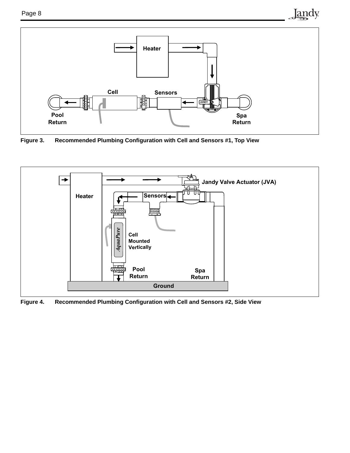Jandy



**Figure 3. Recommended Plumbing Confi guration with Cell and Sensors #1, Top View**



Figure 4. Recommended Plumbing Configuration with Cell and Sensors #2, Side View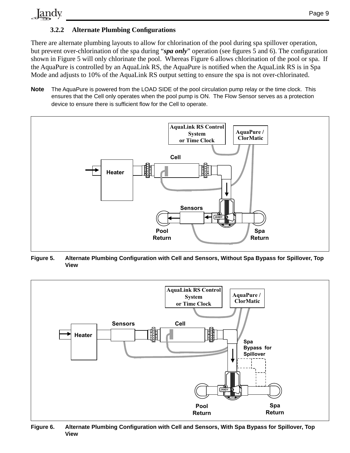## **3.2.2 Alternate Plumbing Confi gurations**

**Jandy** 

There are alternate plumbing layouts to allow for chlorination of the pool during spa spillover operation, but prevent over-chlorination of the spa during "*spa only*" operation (see figures 5 and 6). The configuration shown in Figure 5 will only chlorinate the pool. Whereas Figure 6 allows chlorination of the pool or spa. If the AquaPure is controlled by an AquaLink RS, the AquaPure is notified when the AquaLink RS is in Spa Mode and adjusts to 10% of the AquaLink RS output setting to ensure the spa is not over-chlorinated.

**Note** The AquaPure is powered from the LOAD SIDE of the pool circulation pump relay or the time clock. This ensures that the Cell only operates when the pool pump is ON. The Flow Sensor serves as a protection device to ensure there is sufficient flow for the Cell to operate.



**Figure 5. Alternate Plumbing Confi guration with Cell and Sensors, Without Spa Bypass for Spillover, Top View**



**Figure 6. Alternate Plumbing Confi guration with Cell and Sensors, With Spa Bypass for Spillover, Top View**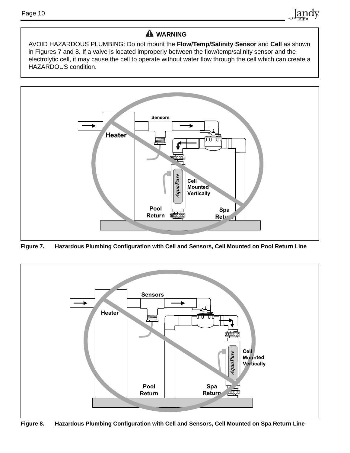## **WARNING**

Jandy

AVOID HAZARDOUS PLUMBING: Do not mount the **Flow/Temp/Salinity Sensor** and **Cell** as shown in Figures 7 and 8. If a valve is located improperly between the flow/temp/salinity sensor and the electrolytic cell, it may cause the cell to operate without water flow through the cell which can create a HAZARDOUS condition.



Figure 7. Hazardous Plumbing Configuration with Cell and Sensors, Cell Mounted on Pool Return Line



Figure 8. Hazardous Plumbing Configuration with Cell and Sensors, Cell Mounted on Spa Return Line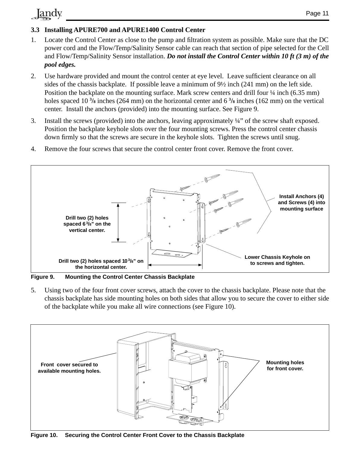## **3.3 Installing APURE700 and APURE1400 Control Center**

Jandy

- 1. Locate the Control Center as close to the pump and filtration system as possible. Make sure that the DC power cord and the Flow/Temp/Salinity Sensor cable can reach that section of pipe selected for the Cell and Flow/Temp/Salinity Sensor installation. *Do not install the Control Center within 10 ft (3 m) of the pool edges.*
- 2. Use hardware provided and mount the control center at eye level. Leave sufficient clearance on all sides of the chassis backplate. If possible leave a minimum of 9½ inch (241 mm) on the left side. Position the backplate on the mounting surface. Mark screw centers and drill four  $\frac{1}{4}$  inch (6.35 mm) holes spaced 10 **<sup>3</sup> /8** inches (264 mm) on the horizontal center and 6 **<sup>3</sup> /8** inches (162 mm) on the vertical center. Install the anchors (provided) into the mounting surface. See Figure 9.
- 3. Install the screws (provided) into the anchors, leaving approximately ¼" of the screw shaft exposed. Position the backplate keyhole slots over the four mounting screws. Press the control center chassis down firmly so that the screws are secure in the keyhole slots. Tighten the screws until snug.
- 4. Remove the four screws that secure the control center front cover. Remove the front cover.



**Figure 9. Mounting the Control Center Chassis Backplate**

5. Using two of the four front cover screws, attach the cover to the chassis backplate. Please note that the chassis backplate has side mounting holes on both sides that allow you to secure the cover to either side of the backplate while you make all wire connections (see Figure 10).



**Figure 10. Securing the Control Center Front Cover to the Chassis Backplate**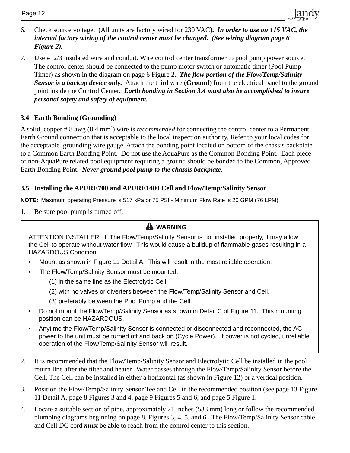6. Check source voltage. (All units are factory wired for 230 VAC**).** *In order to use on 115 VAC, the internal factory wiring of the control center must be changed. (See wiring diagram page 6 Figure 2).*

Iandv

7. Use #12/3 insulated wire and conduit. Wire control center transformer to pool pump power source. The control center should be connected to the pump motor switch or automatic timer (Pool Pump Timer) as shown in the diagram on page 6 Figure 2. *The flow portion of the Flow/Temp/Salinity Sensor is a backup device only.* Attach the third wire (**Ground**) from the electrical panel to the ground point inside the Control Center. *Earth bonding in Section 3.4 must also be accomplished to insure personal safety and safety of equipment.*

## **3.4 Earth Bonding (Grounding)**

A solid, copper # 8 awg (8.4 mm<sup>2</sup>) wire is *recommended* for connecting the control center to a Permanent Earth Ground connection that is acceptable to the local inspection authority. Refer to your local codes for the acceptable grounding wire gauge. Attach the bonding point located on bottom of the chassis backplate to a Common Earth Bonding Point. Do not use the AquaPure as the Common Bonding Point. Each piece of non-AquaPure related pool equipment requiring a ground should be bonded to the Common, Approved Earth Bonding Point. *Never ground pool pump to the chassis backplate*.

### **3.5 Installing the APURE700 and APURE1400 Cell and Flow/Temp/Salinity Sensor**

**NOTE:** Maximum operating Pressure is 517 kPa or 75 PSI - Minimum Flow Rate is 20 GPM (76 LPM).

1. Be sure pool pump is turned off.

# **WARNING**

ATTENTION INSTALLER: If The Flow/Temp/Salinity Sensor is not installed properly, it may allow the Cell to operate without water flow. This would cause a buildup of flammable gases resulting in a HAZARDOUS Condition.

- Mount as shown in Figure 11 Detail A. This will result in the most reliable operation.
- The Flow/Temp/Salinity Sensor must be mounted:
	- (1) in the same line as the Electrolytic Cell.
	- (2) with no valves or diverters between the Flow/Temp/Salinity Sensor and Cell.
	- (3) preferably between the Pool Pump and the Cell.
- Do not mount the Flow/Temp/Salinity Sensor as shown in Detail C of Figure 11. This mounting position can be HAZARDOUS.
- Anytime the Flow/Temp/Salinity Sensor is connected or disconnected and reconnected, the AC power to the unit must be turned off and back on (Cycle Power). If power is not cycled, unreliable operation of the Flow/Temp/Salinity Sensor will result.
- 2. It is recommended that the Flow/Temp/Salinity Sensor and Electrolytic Cell be installed in the pool return line after the filter and heater. Water passes through the Flow/Temp/Salinity Sensor before the Cell. The Cell can be installed in either a horizontal (as shown in Figure 12) or a vertical position.
- 3. Position the Flow/Temp/Salinity Sensor Tee and Cell in the recommended position (see page 13 Figure 11 Detail A, page 8 Figures 3 and 4, page 9 Figures 5 and 6, and page 5 Figure 1.
- 4. Locate a suitable section of pipe, approximately 21 inches (533 mm) long or follow the recommended plumbing diagrams beginning on page 8, Figures 3, 4, 5, and 6. The Flow/Temp/Salinity Sensor cable and Cell DC cord *must* be able to reach from the control center to this section.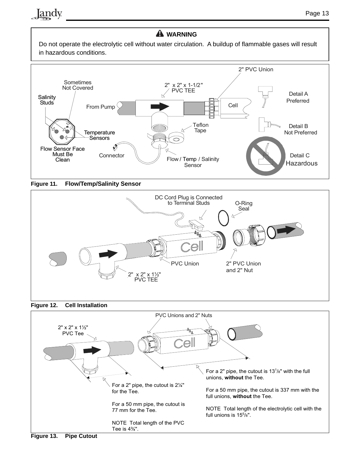# **WARNING**

Do not operate the electrolytic cell without water circulation. A buildup of flammable gases will result in hazardous conditions.



**Figure 11. Flow/Temp/Salinity Sensor**

Jandy







**Figure 13. Pipe Cutout**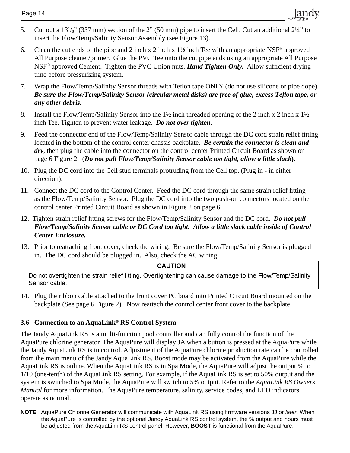### Page 14

5. Cut out a  $13\frac{1}{8}$ " (337 mm) section of the 2" (50 mm) pipe to insert the Cell. Cut an additional  $2\frac{1}{4}$ " to insert the Flow/Temp/Salinity Sensor Assembly (see Figure 13).

Iandv

- 6. Clean the cut ends of the pipe and 2 inch x 2 inch x  $1\frac{1}{2}$  inch Tee with an appropriate NSF<sup>®</sup> approved All Purpose cleaner/primer. Glue the PVC Tee onto the cut pipe ends using an appropriate All Purpose NSF<sup>®</sup> approved Cement. Tighten the PVC Union nuts. *Hand Tighten Only*. Allow sufficient drying time before pressurizing system.
- 7. Wrap the Flow/Temp/Salinity Sensor threads with Teflon tape ONLY (do not use silicone or pipe dope). *Be sure the Flow/Temp/Salinity Sensor (circular metal disks) are free of glue, excess Teflon tape, or any other debris.*
- 8. Install the Flow/Temp/Salinity Sensor into the 1½ inch threaded opening of the 2 inch x 2 inch x 1½ inch Tee. Tighten to prevent water leakage. *Do not over tighten.*
- 9. Feed the connector end of the Flow/Temp/Salinity Sensor cable through the DC cord strain relief fitting located in the bottom of the control center chassis backplate. *Be certain the connector is clean and*  dry, then plug the cable into the connector on the control center Printed Circuit Board as shown on page 6 Figure 2. (*Do not pull Flow/Temp/Salinity Sensor cable too tight, allow a little slack***).**
- 10. Plug the DC cord into the Cell stud terminals protruding from the Cell top. (Plug in in either direction).
- 11. Connect the DC cord to the Control Center. Feed the DC cord through the same strain relief fitting as the Flow/Temp/Salinity Sensor. Plug the DC cord into the two push-on connectors located on the control center Printed Circuit Board as shown in Figure 2 on page 6.
- 12. Tighten strain relief fitting screws for the Flow/Temp/Salinity Sensor and the DC cord. *Do not pull Flow/Temp/Salinity Sensor cable or DC Cord too tight. Allow a little slack cable inside of Control Center Enclosure.*
- 13. Prior to reattaching front cover, check the wiring. Be sure the Flow/Temp/Salinity Sensor is plugged in. The DC cord should be plugged in. Also, check the AC wiring.

### **CAUTION**

Do not overtighten the strain relief fitting. Overtightening can cause damage to the Flow/Temp/Salinity Sensor cable.

14. Plug the ribbon cable attached to the front cover PC board into Printed Circuit Board mounted on the backplate (See page 6 Figure 2). Now reattach the control center front cover to the backplate.

### **3.6 Connection to an AquaLink® RS Control System**

The Jandy AquaLink RS is a multi-function pool controller and can fully control the function of the AquaPure chlorine generator. The AquaPure will display JA when a button is pressed at the AquaPure while the Jandy AquaLink RS is in control. Adjustment of the AquaPure chlorine production rate can be controlled from the main menu of the Jandy AquaLink RS. Boost mode may be activated from the AquaPure while the AquaLink RS is online. When the AquaLink RS is in Spa Mode, the AquaPure will adjust the output % to 1/10 (one-tenth) of the AquaLink RS setting. For example, if the AquaLink RS is set to 50% output and the system is switched to Spa Mode, the AquaPure will switch to 5% output. Refer to the *AquaLink RS Owners Manual* for more information. The AquaPure temperature, salinity, service codes, and LED indicators operate as normal.

**NOTE** AquaPure Chlorine Generator will communicate with AquaLink RS using firmware versions JJ or *later*. When the AquaPure is controlled by the optional Jandy AquaLink RS control system, the % output and hours must be adjusted from the AquaLink RS control panel. However, **BOOST** is functional from the AquaPure.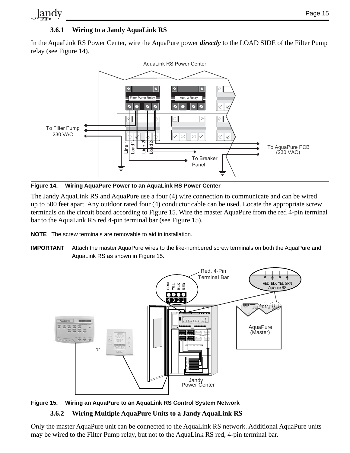### **3.6.1 Wiring to a Jandy AquaLink RS**

Jandy

In the AquaLink RS Power Center, wire the AquaPure power *directly* to the LOAD SIDE of the Filter Pump relay (see Figure 14).



**Figure 14. Wiring AquaPure Power to an AquaLink RS Power Center**

The Jandy AquaLink RS and AquaPure use a four (4) wire connection to communicate and can be wired up to 500 feet apart. Any outdoor rated four (4) conductor cable can be used. Locate the appropriate screw terminals on the circuit board according to Figure 15. Wire the master AquaPure from the red 4-pin terminal bar to the AquaLink RS red 4-pin terminal bar (see Figure 15).

**NOTE** The screw terminals are removable to aid in installation.

**IMPORTANT** Attach the master AquaPure wires to the like-numbered screw terminals on both the AquaPure and AquaLink RS as shown in Figure 15.



**Figure 15. Wiring an AquaPure to an AquaLink RS Control System Network**

### **3.6.2 Wiring Multiple AquaPure Units to a Jandy AquaLink RS**

Only the master AquaPure unit can be connected to the AquaLink RS network. Additional AquaPure units may be wired to the Filter Pump relay, but not to the AquaLink RS red, 4-pin terminal bar.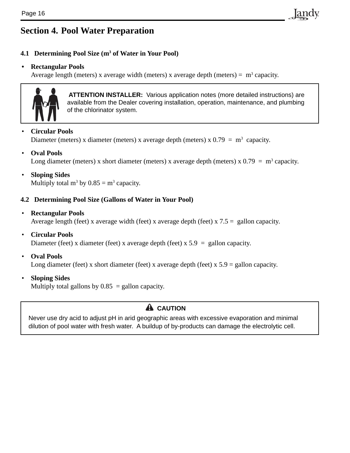# **Section 4. Pool Water Preparation**

### 4.1 Determining Pool Size (m<sup>3</sup> of Water in Your Pool)

### **• Rectangular Pools**

Average length (meters) x average width (meters) x average depth (meters) =  $m<sup>3</sup>$  capacity.



 **ATTENTION INSTALLER:** Various application notes (more detailed instructions) are available from the Dealer covering installation, operation, maintenance, and plumbing of the chlorinator system.

Iandv

### • **Circular Pools**

```
Diameter (meters) x diameter (meters) x average depth (meters) x 0.79 = m^3 capacity.
```
• **Oval Pools**

Long diameter (meters) x short diameter (meters) x average depth (meters) x  $0.79 = m<sup>3</sup>$  capacity.

### • **Sloping Sides**

Multiply total  $m^3$  by  $0.85 = m^3$  capacity.

### **4.2 Determining Pool Size (Gallons of Water in Your Pool)**

• **Rectangular Pools**

Average length (feet) x average width (feet) x average depth (feet) x 7.5 = gallon capacity.

• **Circular Pools**

Diameter (feet) x diameter (feet) x average depth (feet)  $x 5.9$  = gallon capacity.

• **Oval Pools**

Long diameter (feet) x short diameter (feet) x average depth (feet) x  $5.9$  = gallon capacity.

• **Sloping Sides** Multiply total gallons by  $0.85$  = gallon capacity.

# **A** CAUTION

Never use dry acid to adjust pH in arid geographic areas with excessive evaporation and minimal dilution of pool water with fresh water. A buildup of by-products can damage the electrolytic cell.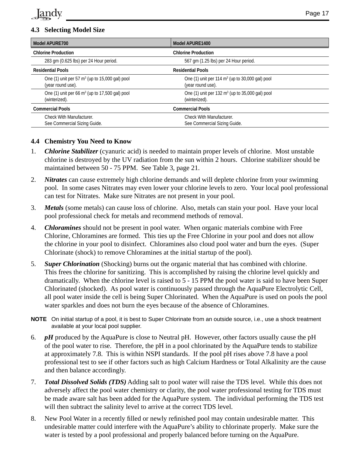### **4.3 Selecting Model Size**

| <b>Model APURE700</b>                                                 | Model APURE1400                                                        |  |  |  |  |
|-----------------------------------------------------------------------|------------------------------------------------------------------------|--|--|--|--|
| <b>Chlorine Production</b>                                            | <b>Chlorine Production</b>                                             |  |  |  |  |
| 283 gm (0.625 lbs) per 24 Hour period.                                | 567 gm (1.25 lbs) per 24 Hour period.                                  |  |  |  |  |
| <b>Residential Pools</b>                                              | <b>Residential Pools</b>                                               |  |  |  |  |
| One (1) unit per 57 $m3$ (up to 15,000 gal) pool<br>(year round use). | One (1) unit per 114 $m3$ (up to 30,000 gal) pool<br>(year round use). |  |  |  |  |
| One (1) unit per 66 $m3$ (up to 17,500 gal) pool<br>(winterized).     | One (1) unit per 132 $m3$ (up to 35,000 gal) pool<br>(winterized).     |  |  |  |  |
| <b>Commercial Pools</b>                                               | <b>Commercial Pools</b>                                                |  |  |  |  |
| Check With Manufacturer.<br>See Commercial Sizing Guide.              | Check With Manufacturer.<br>See Commercial Sizing Guide.               |  |  |  |  |

### **4.4 Chemistry You Need to Know**

- 1. *Chlorine Stabilizer* (cyanuric acid) is needed to maintain proper levels of chlorine. Most unstable chlorine is destroyed by the UV radiation from the sun within 2 hours. Chlorine stabilizer should be maintained between 50 - 75 PPM. See Table 3, page 21.
- 2. *Nitrates* can cause extremely high chlorine demands and will deplete chlorine from your swimming pool. In some cases Nitrates may even lower your chlorine levels to zero. Your local pool professional can test for Nitrates. Make sure Nitrates are not present in your pool.
- 3. *Metals* (some metals) can cause loss of chlorine. Also, metals can stain your pool. Have your local pool professional check for metals and recommend methods of removal.
- 4. *Chloramines* should not be present in pool water. When organic materials combine with Free Chlorine, Chloramines are formed. This ties up the Free Chlorine in your pool and does not allow the chlorine in your pool to disinfect. Chloramines also cloud pool water and burn the eyes. (Super Chlorinate (shock) to remove Chloramines at the initial startup of the pool).
- 5. *Super Chlorination* (Shocking) burns out the organic material that has combined with chlorine. This frees the chlorine for sanitizing. This is accomplished by raising the chlorine level quickly and dramatically. When the chlorine level is raised to 5 - 15 PPM the pool water is said to have been Super Chlorinated (shocked). As pool water is continuously passed through the AquaPure Electrolytic Cell, all pool water inside the cell is being Super Chlorinated. When the AquaPure is used on pools the pool water sparkles and does not burn the eyes because of the absence of Chloramines.
- **NOTE** On initial startup of a pool, it is best to Super Chlorinate from an outside source, i.e., use a shock treatment available at your local pool supplier.
- 6. *pH* produced by the AquaPure is close to Neutral pH. However, other factors usually cause the pH of the pool water to rise. Therefore, the pH in a pool chlorinated by the AquaPure tends to stabilize at approximately 7.8. This is within NSPI standards. If the pool pH rises above 7.8 have a pool professional test to see if other factors such as high Calcium Hardness or Total Alkalinity are the cause and then balance accordingly.
- 7. *Total Dissolved Solids (TDS)* Adding salt to pool water will raise the TDS level. While this does not adversely affect the pool water chemistry or clarity, the pool water professional testing for TDS must be made aware salt has been added for the AquaPure system. The individual performing the TDS test will then subtract the salinity level to arrive at the correct TDS level.
- 8. New Pool Water in a recently filled or newly refinished pool may contain undesirable matter. This undesirable matter could interfere with the AquaPure's ability to chlorinate properly. Make sure the water is tested by a pool professional and properly balanced before turning on the AquaPure.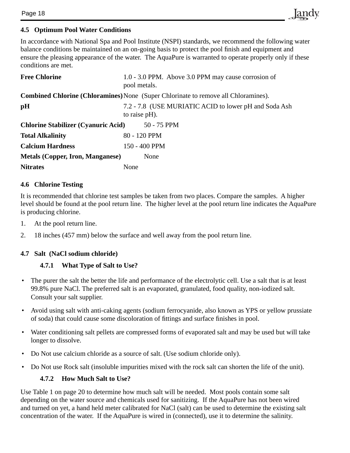### **4.5 Optimum Pool Water Conditions**

In accordance with National Spa and Pool Institute (NSPI) standards, we recommend the following water balance conditions be maintained on an on-going basis to protect the pool finish and equipment and ensure the pleasing appearance of the water. The AquaPure is warranted to operate properly only if these conditions are met.

Iandv

| <b>Free Chlorine</b>                       | 1.0 - 3.0 PPM. Above 3.0 PPM may cause corrosion of<br>pool metals.                       |
|--------------------------------------------|-------------------------------------------------------------------------------------------|
|                                            | <b>Combined Chlorine (Chloramines)</b> None (Super Chlorinate to remove all Chloramines). |
| pH                                         | 7.2 - 7.8 (USE MURIATIC ACID to lower pH and Soda Ash<br>to raise pH).                    |
| <b>Chlorine Stabilizer (Cyanuric Acid)</b> | 50 - 75 PPM                                                                               |
| <b>Total Alkalinity</b>                    | 80 - 120 PPM                                                                              |
| <b>Calcium Hardness</b>                    | 150 - 400 PPM                                                                             |
| <b>Metals (Copper, Iron, Manganese)</b>    | None                                                                                      |
| <b>Nitrates</b>                            | None                                                                                      |

### **4.6 Chlorine Testing**

It is recommended that chlorine test samples be taken from two places. Compare the samples. A higher level should be found at the pool return line. The higher level at the pool return line indicates the AquaPure is producing chlorine.

- 1. At the pool return line.
- 2. 18 inches (457 mm) below the surface and well away from the pool return line.

### **4.7 Salt (NaCl sodium chloride)**

### **4.7.1 What Type of Salt to Use?**

- The purer the salt the better the life and performance of the electrolytic cell. Use a salt that is at least 99.8% pure NaCl. The preferred salt is an evaporated, granulated, food quality, non-iodized salt. Consult your salt supplier.
- Avoid using salt with anti-caking agents (sodium ferrocyanide, also known as YPS or yellow prussiate of soda) that could cause some discoloration of fittings and surface finishes in pool.
- Water conditioning salt pellets are compressed forms of evaporated salt and may be used but will take longer to dissolve.
- Do Not use calcium chloride as a source of salt. (Use sodium chloride only).
- Do Not use Rock salt (insoluble impurities mixed with the rock salt can shorten the life of the unit).

### **4.7.2 How Much Salt to Use?**

Use Table 1 on page 20 to determine how much salt will be needed. Most pools contain some salt depending on the water source and chemicals used for sanitizing. If the AquaPure has not been wired and turned on yet, a hand held meter calibrated for NaCl (salt) can be used to determine the existing salt concentration of the water. If the AquaPure is wired in (connected), use it to determine the salinity.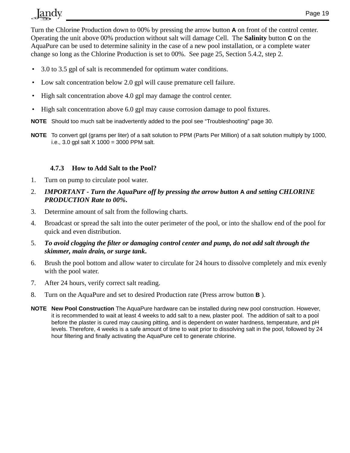# Jandy

Turn the Chlorine Production down to 00% by pressing the arrow button **A** on front of the control center. Operating the unit above 00% production without salt will damage Cell. The **Salinity** button **C** on the AquaPure can be used to determine salinity in the case of a new pool installation, or a complete water change so long as the Chlorine Production is set to 00%. See page 25, Section 5.4.2, step 2.

- 3.0 to 3.5 gpl of salt is recommended for optimum water conditions.
- Low salt concentration below 2.0 gpl will cause premature cell failure.
- High salt concentration above 4.0 gpl may damage the control center.
- High salt concentration above 6.0 gpl may cause corrosion damage to pool fixtures.

**NOTE** Should too much salt be inadvertently added to the pool see "Troubleshooting" page 30.

**NOTE** To convert gpl (grams per liter) of a salt solution to PPM (Parts Per Million) of a salt solution multiply by 1000, i.e., 3.0 gpl salt  $X$  1000 = 3000 PPM salt.

### **4.7.3 How to Add Salt to the Pool?**

- 1. Turn on pump to circulate pool water.
- 2. *IMPORTANT Turn the AquaPure off by pressing the arrow button A and setting CHLORINE PRODUCTION Rate to 00%***.**
- 3. Determine amount of salt from the following charts.
- 4. Broadcast or spread the salt into the outer perimeter of the pool, or into the shallow end of the pool for quick and even distribution.
- 5. *To avoid clogging the fi lter or damaging control center and pump, do not add salt through the skimmer, main drain, or surge tank***.**
- 6. Brush the pool bottom and allow water to circulate for 24 hours to dissolve completely and mix evenly with the pool water.
- 7. After 24 hours, verify correct salt reading.
- 8. Turn on the AquaPure and set to desired Production rate (Press arrow button **B** ).
- **NOTE New Pool Construction** The AquaPure hardware can be installed during new pool construction. However, it is recommended to wait at least 4 weeks to add salt to a new, plaster pool. The addition of salt to a pool before the plaster is cured may causing pitting, and is dependent on water hardness, temperature, and pH levels. Therefore, 4 weeks is a safe amount of time to wait prior to dissolving salt in the pool, followed by 24 hour filtering and finally activating the AquaPure cell to generate chlorine.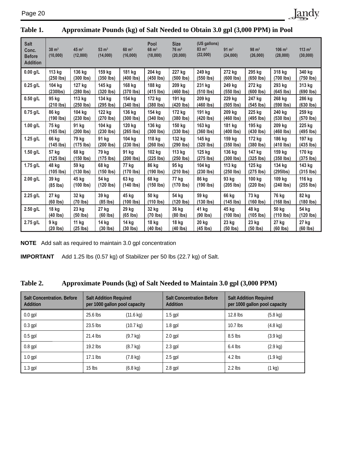| <b>Salt</b><br>Conc.<br><b>Before</b><br><b>Addition</b> | $38 \text{ m}^3$<br>(10,000) | $45 \text{ m}^3$<br>(12,000) | $53 \text{ m}^3$<br>(14,000) | $60 \text{ m}^3$<br>(16,000) | Pool<br>$68 \text{ m}^3$<br>(18,000) | <b>Size</b><br>$76 \text{ m}^3$<br>(20,000) | (US gallons)<br>$83 \text{ m}^3$<br>(22,000) | $91 \text{ m}^3$<br>(24,000) | $98 \text{ m}^3$<br>(26,000) | $106 \text{ m}^3$<br>(28,000) | $113 \text{ m}^3$<br>(30,000) |
|----------------------------------------------------------|------------------------------|------------------------------|------------------------------|------------------------------|--------------------------------------|---------------------------------------------|----------------------------------------------|------------------------------|------------------------------|-------------------------------|-------------------------------|
| $0.00$ g/L                                               | 113 kg                       | 136 kg                       | 159 kg                       | 181 kg                       | 204 kg                               | 227 kg                                      | 249 kg                                       | 272 kg                       | 295 kg                       | 318 kg                        | 340 kg                        |
|                                                          | (250 lbs)                    | $(300$ lbs)                  | $(350$ lbs)                  | $(400$ lbs)                  | $(450$ lbs)                          | $(500$ lbs)                                 | $(550$ lbs)                                  | $(600$ lbs)                  | $(650$ lbs)                  | (700 lbs)                     | $(750$ lbs)                   |
| $0.25$ g/L                                               | 104 kg                       | 127 kg                       | 145 kg                       | 168 kg                       | 188 kg                               | 209 kg                                      | 231 kg                                       | 249 kg                       | 272 kg                       | 293 kg                        | 313 kg                        |
|                                                          | $(230$ lbs $)$               | (280 lbs)                    | $(320$ lbs)                  | (370 lbs)                    | $(415$ lbs)                          | $(460$ lbs)                                 | $(510$ lbs)                                  | $(550$ lbs)                  | $(600$ lbs)                  | $(645$ lbs)                   | $(690$ lbs)                   |
| $0.50$ g/L                                               | 95 kg                        | 113 kg                       | 134 kg                       | 154 kg                       | 172 kg                               | 191 kg                                      | 209 kg                                       | 229 kg                       | 247 kg                       | 268 kg                        | 286 kg                        |
|                                                          | $(210$ lbs)                  | (250 lbs)                    | (295 lbs)                    | (340 lbs)                    | (380 lbs)                            | (420 lbs)                                   | $(460$ lbs)                                  | $(505$ lbs)                  | $(545$ lbs)                  | $(590$ lbs)                   | $(630$ lbs)                   |
| $0.75$ g/L                                               | 86 kg                        | 104 kg                       | 122 kg                       | 136 kg                       | 154 kg                               | 172 kg                                      | 191 kg                                       | 209 kg                       | 225 kg                       | 240 kg                        | 259 kg                        |
|                                                          | $(190$ lbs)                  | (230 lbs)                    | $(270$ lbs)                  | $(300$ lbs)                  | (340 lbs)                            | $(380$ lbs)                                 | $(420$ lbs)                                  | $(460$ lbs)                  | $(495$ lbs)                  | $(530$ lbs)                   | $(570$ lbs)                   |
| 1.00 $g/L$                                               | 75 kg                        | 91 kg                        | 104 kg                       | 120 kg                       | 136 kg                               | 150 kg                                      | 163 kg                                       | 181 kg                       | 195 kg                       | 209 kg                        | 225 kg                        |
|                                                          | $(165$ lbs)                  | (200 lbs)                    | $(230$ lbs)                  | $(265$ lbs)                  | (300 lbs)                            | $(330$ lbs)                                 | $(360$ lbs)                                  | $(400$ lbs)                  | $(430$ lbs)                  | (460 lbs)                     | (495 lbs)                     |
| $1.25$ g/L                                               | 66 kg                        | 79 kg                        | 91 kg                        | 104 kg                       | 118 kg                               | 132 kg                                      | 145 kg                                       | 159 kg                       | 172 kg                       | 186 kg                        | 197 kg                        |
|                                                          | $(145$ lbs)                  | $(175$ lbs)                  | $(200$ lbs)                  | $(230$ lbs)                  | $(260$ lbs)                          | $(290$ lbs)                                 | $(320$ lbs)                                  | $(350$ lbs)                  | $(380$ lbs)                  | $(410$ lbs)                   | $(435$ lbs)                   |
| $1.50$ g/L                                               | 57 kg                        | 68 kg                        | 79 kg                        | 91 kg                        | 102 kg                               | 113 kg                                      | 125 kg                                       | 136 kg                       | 147 kg                       | 159 kg                        | 170 kg                        |
|                                                          | $(125$ lbs)                  | (150 lbs)                    | $(175$ lbs)                  | $(200$ lbs)                  | (225 lbs)                            | $(250$ lbs)                                 | $(275$ lbs)                                  | $(300$ lbs)                  | $(325$ lbs)                  | $(350$ lbs)                   | $(375$ lbs)                   |
| 1.75 g/L                                                 | 48 kg                        | 59 kg                        | 68 kg                        | 77 kg                        | 86 kg                                | 95 kg                                       | 104 kg                                       | 113 kg                       | 125 kg                       | 134 kg                        | 143 kg                        |
|                                                          | $(105$ lbs)                  | $(130$ lbs)                  | $(150$ lbs)                  | $(170$ lbs)                  | $(190$ lbs)                          | $(210$ lbs)                                 | $(230$ lbs)                                  | $(250$ lbs)                  | $(275$ lbs)                  | $(295$ lbs)                   | $(315$ lbs)                   |
| $2.00$ g/L                                               | 39 kg                        | 45 kg                        | 54 kg                        | 63 kg                        | 68 kg                                | 77 kg                                       | 86 kg                                        | 93 kg                        | 100 kg                       | 109 kg                        | 116 kg                        |
|                                                          | $(85$ lbs)                   | $(100$ lbs)                  | $(120$ lbs)                  | $(140$ lbs)                  | $(150$ lbs)                          | $(170$ lbs)                                 | $(190$ lbs)                                  | $(205$ lbs)                  | $(220$ lbs)                  | $(240$ lbs)                   | $(255$ lbs)                   |
| $2.25$ g/L                                               | 27 kg                        | 32 kg                        | 39 kg                        | 45 kg                        | 50 kg                                | 54 kg                                       | 59 kg                                        | 66 kg                        | 73 kg                        | 76 kg                         | 82 kg                         |
|                                                          | $(60$ lbs)                   | $(70$ lbs)                   | $(85$ lbs)                   | $(100$ lbs)                  | $(110$ lbs)                          | $(120$ lbs)                                 | $(130$ lbs)                                  | $(145$ lbs)                  | $(160$ lbs)                  | $(168$ lbs)                   | $(180$ lbs)                   |
| $2.50$ g/L                                               | 18 kg                        | 23 kg                        | 27 kg                        | 29 kg                        | 32 kg                                | 36 kg                                       | 41 kg                                        | 45 kg                        | 48 kg                        | 50 kg                         | 54 kg                         |
|                                                          | (40 lbs)                     | $(50$ lbs)                   | $(60$ lbs)                   | $(65$ lbs)                   | $(70$ lbs)                           | $(80$ lbs)                                  | $(90$ lbs)                                   | $(100$ lbs)                  | $(105$ lbs)                  | $(110$ lbs)                   | $(120$ lbs)                   |
| 2.75 g/L                                                 | 9 kg                         | 11 kg                        | 14 kg                        | 14 kg                        | 18 kg                                | 18 kg                                       | 20 kg                                        | 23 kg                        | 23 kg                        | 27 kg                         | 27 kg                         |
|                                                          | $(20$ lbs)                   | $(25$ lbs)                   | $(30$ lbs)                   | $(30$ lbs)                   | $(40$ lbs)                           | $(40$ lbs)                                  | $(45$ lbs)                                   | $(50$ lbs)                   | $(50$ lbs)                   | $(60$ lbs)                    | $(60$ lbs)                    |

# **Table 1. Approximate Pounds (kg) of Salt Needed to Obtain 3.0 gpl (3,000 PPM) in Pool**

Jandy

**NOTE** Add salt as required to maintain 3.0 gpl concentration

**IMPORTANT** Add 1.25 lbs (0.57 kg) of Stabilizer per 50 lbs (22.7 kg) of Salt.

### **Table 2. Approximate Pounds (kg) of Salt Needed to Maintain 3.0 gpl (3,000 PPM)**

| <b>Salt Concentration, Before</b><br>Addition | <b>Salt Addition Required</b><br>per 1000 gallon pool capacity |                     | <b>Salt Concentration Before</b><br><b>Addition</b> | <b>Salt Addition Required</b><br>per 1000 gallon pool capacity |                    |
|-----------------------------------------------|----------------------------------------------------------------|---------------------|-----------------------------------------------------|----------------------------------------------------------------|--------------------|
| $0.0$ gpl                                     | 25.6 lbs                                                       | $(11.6 \text{ kg})$ | $1.5$ gpl                                           | $12.8$ lbs                                                     | $(5.8 \text{ kg})$ |
| $0.3$ gpl                                     | $23.5$ lbs                                                     | $(10.7 \text{ kg})$ | $1.8$ gpl                                           | $10.7$ lbs                                                     | $(4.8 \text{ kg})$ |
| $0.5$ gpl                                     | 21.4 lbs                                                       | $(9.7 \text{ kg})$  | $2.0$ gpl                                           | $8.5$ lbs                                                      | $(3.9 \text{ kg})$ |
| $0.8$ gpl                                     | $19.2$ lbs                                                     | $(8.7 \text{ kg})$  | $2.3$ gpl                                           | $6.4$ lbs                                                      | $(2.9 \text{ kg})$ |
| $1.0$ gpl                                     | $17.1$ lbs                                                     | $(7.8 \text{ kg})$  | $2.5$ gpl                                           | $4.2$ lbs                                                      | $(1.9 \text{ kg})$ |
| $1.3$ gpl                                     | $15$ lbs                                                       | $(6.8 \text{ kg})$  | $2.8$ gpl                                           | $2.2$ lbs                                                      | $(1 \text{ kg})$   |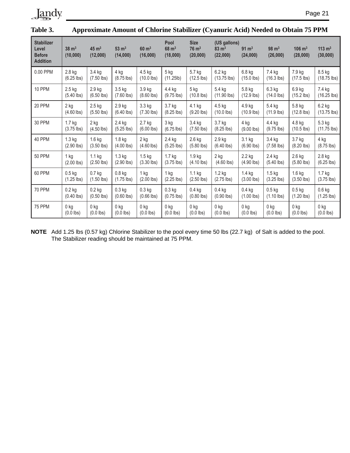Jandy

| Ю<br>c<br>. . |
|---------------|
|---------------|

| Table 3.                                                       |                              |                              |                              |                              |                                      |                                             | Approximate Amount of Chlorine Stabilizer (Cyanuric Acid) Needed to Obtain 75 PPM |                              |                              |                               |                                     |
|----------------------------------------------------------------|------------------------------|------------------------------|------------------------------|------------------------------|--------------------------------------|---------------------------------------------|-----------------------------------------------------------------------------------|------------------------------|------------------------------|-------------------------------|-------------------------------------|
| <b>Stabilizer</b><br>Level<br><b>Before</b><br><b>Addition</b> | $38 \text{ m}^3$<br>(10,000) | $45 \text{ m}^3$<br>(12,000) | $53 \text{ m}^3$<br>(14,000) | $60 \text{ m}^3$<br>(16,000) | Pool<br>$68 \text{ m}^3$<br>(18,000) | <b>Size</b><br>$76 \text{ m}^3$<br>(20,000) | (US gallons)<br>$83 \text{ m}^3$<br>(22,000)                                      | $91 \text{ m}^3$<br>(24,000) | $98 \text{ m}^3$<br>(26,000) | $106 \text{ m}^3$<br>(28,000) | 113 $\,$ m <sup>3</sup><br>(30,000) |
| 0.00 PPM                                                       | 2.8 kg                       | 3.4 kg                       | 4 kg                         | 4.5 kg                       | $5$ kg                               | 5.7 kg                                      | $6.2$ kg                                                                          | $6.8$ kg                     | 7.4 kg                       | 7.9 kg                        | 8.5 kg                              |
|                                                                | $(6.25$ lbs)                 | $(7.50$ lbs)                 | $(8.75$ lbs)                 | $(10.0$ lbs)                 | (11.25lb)                            | $(12.5$ lbs)                                | $(13.75$ lbs)                                                                     | $(15.0$ lbs)                 | $(16.3$ lbs)                 | $(17.5$ lbs)                  | $(18.75$ lbs)                       |
| <b>10 PPM</b>                                                  | $2.5$ kg                     | 2.9 kg                       | $3.5$ kg                     | 3.9 kg                       | 4.4 kg                               | 5 kg                                        | 5.4 kg                                                                            | 5.8 kg                       | $6.3$ kg                     | 6.9 kg                        | 7.4 kg                              |
|                                                                | $(5.40$ lbs)                 | $(6.50$ lbs)                 | $(7.60$ lbs)                 | $(8.60$ lbs)                 | $(9.75$ lbs)                         | $(10.8$ lbs)                                | $(11.90$ lbs)                                                                     | $(12.9$ lbs)                 | $(14.0$ lbs)                 | $(15.2$ lbs)                  | $(16.25$ lbs)                       |
| 20 PPM                                                         | 2 kg                         | $2.5$ kg                     | 2.9 kg                       | 3.3 kg                       | 3.7 kg                               | 4.1 kg                                      | 4.5 kg                                                                            | 4.9 kg                       | 5.4 kg                       | 5.8 kg                        | $6.2$ kg                            |
|                                                                | $(4.60$ lbs)                 | $(5.50$ lbs)                 | $(6.40$ lbs)                 | $(7.30$ lbs)                 | $(8.25$ lbs)                         | $(9.20$ lbs)                                | $(10.0$ lbs)                                                                      | $(10.9$ lbs)                 | $(11.9$ lbs)                 | $(12.8$ lbs)                  | $(13.75$ lbs)                       |
| 30 PPM                                                         | $1.7$ kg                     | 2 kg                         | 2.4 kg                       | 2.7 kg                       | 3 kg                                 | 3.4 kg                                      | 3.7 kg                                                                            | 4 kg                         | 4.4 kg                       | 4.8 kg                        | 5.3 kg                              |
|                                                                | $(3.75$ lbs)                 | $(4.50$ lbs)                 | $(5.25$ lbs)                 | $(6.00$ lbs)                 | $(6.75$ lbs)                         | $(7.50$ lbs)                                | $(8.25$ lbs)                                                                      | $(9.00$ lbs)                 | $(9.75$ lbs)                 | $(10.5$ lbs)                  | $(11.75$ lbs)                       |
| 40 PPM                                                         | $1.3$ kg                     | $1.6$ kg                     | $1.8$ kg                     | $2$ kg                       | 2.4 kg                               | $2.6$ kg                                    | 2.9 kg                                                                            | 3.1 kg                       | 3.4 kg                       | 3.7 kg                        | 4 kg                                |
|                                                                | $(2.90$ lbs)                 | $(3.50$ lbs)                 | $(4.00$ lbs)                 | $(4.60$ lbs)                 | $(5.25$ lbs)                         | $(5.80$ lbs)                                | $(6.40$ lbs)                                                                      | $(6.90$ lbs)                 | $(7.58$ lbs)                 | $(8.20$ lbs)                  | $(8.75$ lbs)                        |
| <b>50 PPM</b>                                                  | 1 kg                         | $1.1$ kg                     | 1.3 kg                       | $1.5$ kg                     | $1.7$ kg                             | 1.9 <sub>kg</sub>                           | $2$ kg                                                                            | $2.2$ kg                     | 2.4 kg                       | $2.6$ kg                      | 2.8 kg                              |
|                                                                | $(2.00$ lbs)                 | $(2.50$ lbs)                 | $(2.90$ lbs)                 | $(3.30$ lbs)                 | $(3.75$ lbs)                         | $(4.10$ lbs)                                | $(4.60$ lbs)                                                                      | $(4.90$ lbs)                 | $(5.40$ lbs)                 | $(5.80$ lbs)                  | $(6.25$ lbs)                        |
| 60 PPM                                                         | $0.5$ kg                     | $0.7$ kg                     | $0.8$ kg                     | $1$ kg                       | $1$ kg                               | $1.1$ kg                                    | $1.2$ kg                                                                          | $1.4$ kg                     | $1.5$ kg                     | $1.6$ kg                      | $1.7$ kg                            |
|                                                                | $(1.25$ lbs)                 | $(1.50$ lbs)                 | $(1.75$ lbs)                 | $(2.00$ lbs)                 | $(2.25$ lbs)                         | $(2.50$ lbs)                                | $(2.75$ lbs)                                                                      | $(3.00$ lbs)                 | $(3.25$ lbs)                 | $(3.50$ lbs)                  | $(3.75$ lbs)                        |
| <b>70 PPM</b>                                                  | $0.2$ kg                     | 0.2 <sub>k</sub>             | 0.3 <sub>k</sub>             | 0.3 <sub>k</sub>             | $0.3$ kg                             | $0.4$ kg                                    | $0.4$ kg                                                                          | $0.4$ kg                     | 0.5 <sub>k</sub>             | $0.5$ kg                      | $0.6$ kg                            |
|                                                                | $(0.40$ lbs)                 | $(0.50$ lbs)                 | $(0.60$ lbs)                 | $(0.66$ lbs)                 | $(0.75$ lbs)                         | $(0.80$ lbs)                                | $(0.90$ lbs)                                                                      | $(1.00$ lbs)                 | $(1.10$ lbs)                 | $(1.20$ lbs)                  | $(1.25$ lbs)                        |
| <b>75 PPM</b>                                                  | $0$ kg                       | $0$ kg                       | $0$ kg                       | 0 kg                         | 0 kg                                 | 0 kg                                        | $0$ kg                                                                            | $0$ kg                       | $0$ kg                       | 0 kg                          | $0$ kg                              |
|                                                                | $(0.0$ lbs)                  | $(0.0$ lbs)                  | $(0.0$ lbs)                  | $(0.0$ lbs)                  | $(0.0$ lbs)                          | $(0.0$ lbs)                                 | $(0.0$ lbs)                                                                       | $(0.0$ lbs)                  | $(0.0$ lbs)                  | $(0.0$ lbs)                   | $(0.0$ lbs)                         |

**NOTE** Add 1.25 lbs (0.57 kg) Chlorine Stabilizer to the pool every time 50 lbs (22.7 kg) of Salt is added to the pool. The Stabilizer reading should be maintained at 75 PPM.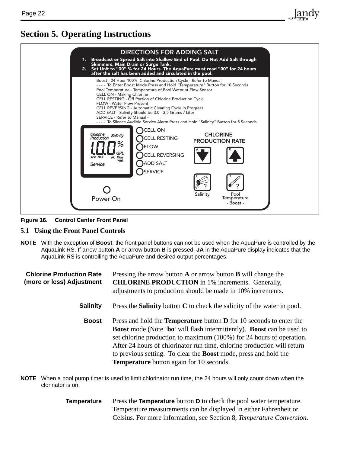# **Section 5. Operating Instructions**



landv

**Figure 16. Control Center Front Panel**

### **5.1 Using the Front Panel Controls**

**NOTE** With the exception of **Boost**, the front panel buttons can not be used when the AquaPure is controlled by the AquaLink RS. If arrow button **A** or arrow button **B** is pressed, **JA** in the AquaPure display indicates that the AquaLink RS is controlling the AquaPure and desired output percentages.

**Chlorine Production Rate (more or less) Adjustment**  Pressing the arrow button **A** or arrow button **B** will change the **CHLORINE PRODUCTION** in 1% increments. Generally, adjustments to production should be made in 10% increments. **Salinity** Press the **Salinity** button **C** to check the salinity of the water in pool. **Boost** Press and hold the **Temperature** button **D** for 10 seconds to enter the **Boost** mode (Note '**bo**' will flash intermittently). **Boost** can be used to set chlorine production to maximum (100%) for 24 hours of operation. After 24 hours of chlorinator run time, chlorine production will return to previous setting. To clear the **Boost** mode, press and hold the **Temperature** button again for 10 seconds.

- **NOTE** When a pool pump timer is used to limit chlorinator run time, the 24 hours will only count down when the clorinator is on.
	- **Temperature** Press the **Temperature** button **D** to check the pool water temperature. Temperature measurements can be displayed in either Fahrenheit or Celsius. For more information, see Section 8, *Temperature Conversion*.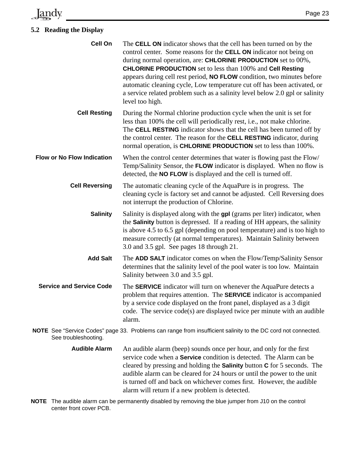# **Jandy**

### **5.2 Reading the Display**

| Cell On                           | The CELL ON indicator shows that the cell has been turned on by the<br>control center. Some reasons for the CELL ON indicator not being on<br>during normal operation, are: CHLORINE PRODUCTION set to 00%,<br><b>CHLORINE PRODUCTION</b> set to less than 100% and Cell Resting<br>appears during cell rest period, <b>NO FLOW</b> condition, two minutes before<br>automatic cleaning cycle, Low temperature cut off has been activated, or<br>a service related problem such as a salinity level below 2.0 gpl or salinity<br>level too high. |
|-----------------------------------|--------------------------------------------------------------------------------------------------------------------------------------------------------------------------------------------------------------------------------------------------------------------------------------------------------------------------------------------------------------------------------------------------------------------------------------------------------------------------------------------------------------------------------------------------|
| <b>Cell Resting</b>               | During the Normal chlorine production cycle when the unit is set for<br>less than 100% the cell will periodically rest, i.e., not make chlorine.<br>The CELL RESTING indicator shows that the cell has been turned off by<br>the control center. The reason for the <b>CELL RESTING</b> indicator, during<br>normal operation, is <b>CHLORINE PRODUCTION</b> set to less than 100%.                                                                                                                                                              |
| <b>Flow or No Flow Indication</b> | When the control center determines that water is flowing past the Flow/<br>Temp/Salinity Sensor, the FLOW indicator is displayed. When no flow is<br>detected, the <b>NO FLOW</b> is displayed and the cell is turned off.                                                                                                                                                                                                                                                                                                                       |
| <b>Cell Reversing</b>             | The automatic cleaning cycle of the AquaPure is in progress. The<br>cleaning cycle is factory set and cannot be adjusted. Cell Reversing does<br>not interrupt the production of Chlorine.                                                                                                                                                                                                                                                                                                                                                       |
| <b>Salinity</b>                   | Salinity is displayed along with the gpl (grams per liter) indicator, when<br>the <b>Salinity</b> button is depressed. If a reading of HH appears, the salinity<br>is above 4.5 to 6.5 gpl (depending on pool temperature) and is too high to<br>measure correctly (at normal temperatures). Maintain Salinity between<br>3.0 and 3.5 gpl. See pages 18 through 21.                                                                                                                                                                              |
| <b>Add Salt</b>                   | The ADD SALT indicator comes on when the Flow/Temp/Salinity Sensor<br>determines that the salinity level of the pool water is too low. Maintain<br>Salinity between 3.0 and 3.5 gpl.                                                                                                                                                                                                                                                                                                                                                             |
| <b>Service and Service Code</b>   | The <b>SERVICE</b> indicator will turn on whenever the AquaPure detects a<br>problem that requires attention. The <b>SERVICE</b> indicator is accompanied<br>by a service code displayed on the front panel, displayed as a 3 digit<br>code. The service code(s) are displayed twice per minute with an audible<br>alarm.                                                                                                                                                                                                                        |
| See troubleshooting.              | NOTE See "Service Codes" page 33. Problems can range from insufficient salinity to the DC cord not connected.                                                                                                                                                                                                                                                                                                                                                                                                                                    |
|                                   |                                                                                                                                                                                                                                                                                                                                                                                                                                                                                                                                                  |

**Audible Alarm** An audible alarm (beep) sounds once per hour, and only for the first service code when a **Service** condition is detected. The Alarm can be cleared by pressing and holding the **Salinity** button **C** for 5 seconds. The audible alarm can be cleared for 24 hours or until the power to the unit is turned off and back on whichever comes first. However, the audible alarm will return if a new problem is detected.

**NOTE** The audible alarm can be permanently disabled by removing the blue jumper from J10 on the control center front cover PCB.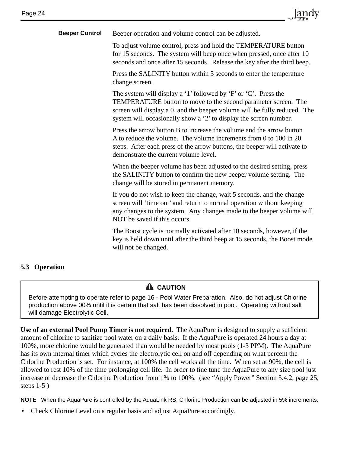**Beeper Control** Beeper operation and volume control can be adjusted.

To adjust volume control, press and hold the TEMPERATURE button for 15 seconds. The system will beep once when pressed, once after 10 seconds and once after 15 seconds. Release the key after the third beep.

**Jandy** 

Press the SALINITY button within 5 seconds to enter the temperature change screen.

The system will display a '1' followed by 'F' or 'C'. Press the TEMPERATURE button to move to the second parameter screen. The screen will display a 0, and the beeper volume will be fully reduced. The system will occasionally show a '2' to display the screen number.

Press the arrow button B to increase the volume and the arrow button A to reduce the volume. The volume increments from 0 to 100 in 20 steps. After each press of the arrow buttons, the beeper will activate to demonstrate the current volume level.

When the beeper volume has been adjusted to the desired setting, press the SALINITY button to confirm the new beeper volume setting. The change will be stored in permanent memory.

If you do not wish to keep the change, wait 5 seconds, and the change screen will 'time out' and return to normal operation without keeping any changes to the system. Any changes made to the beeper volume will NOT be saved if this occurs.

The Boost cycle is normally activated after 10 seconds, however, if the key is held down until after the third beep at 15 seconds, the Boost mode will not be changed.

### **5.3 Operation**

## **A** CAUTION

Before attempting to operate refer to page 16 - Pool Water Preparation. Also, do not adjust Chlorine production above 00% until it is certain that salt has been dissolved in pool. Operating without salt will damage Electrolytic Cell.

Use of an external Pool Pump Timer is not required. The AquaPure is designed to supply a sufficient amount of chlorine to sanitize pool water on a daily basis. If the AquaPure is operated 24 hours a day at 100%, more chlorine would be generated than would be needed by most pools (1-3 PPM). The AquaPure has its own internal timer which cycles the electrolytic cell on and off depending on what percent the Chlorine Production is set. For instance, at 100% the cell works all the time. When set at 90%, the cell is allowed to rest 10% of the time prolonging cell life. In order to fine tune the AquaPure to any size pool just increase or decrease the Chlorine Production from 1% to 100%. (see "Apply Power" Section 5.4.2, page 25, steps  $1-5$ )

**NOTE** When the AquaPure is controlled by the AquaLink RS, Chlorine Production can be adjusted in 5% increments.

• Check Chlorine Level on a regular basis and adjust AquaPure accordingly.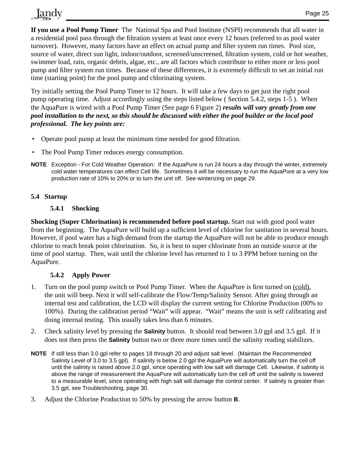

**If you use a Pool Pump Timer** The National Spa and Pool Institute (NSPI) recommends that all water in a residential pool pass through the filtration system at least once every 12 hours (referred to as pool water turnover). However, many factors have an effect on actual pump and filter system run times. Pool size, source of water, direct sun light, indoor/outdoor, screened/unscreened, filtration system, cold or hot weather, swimmer load, rain, organic debris, algae, etc., are all factors which contribute to either more or less pool pump and filter system run times. Because of these differences, it is extremely difficult to set an initial run time (starting point) for the pool pump and chlorinating system.

Try initially setting the Pool Pump Timer to 12 hours. It will take a few days to get just the right pool pump operating time. Adjust accordingly using the steps listed below ( Section 5.4.2, steps 1-5 ). When the AquaPure is wired with a Pool Pump Timer (See page 6 Figure 2) *results will vary greatly from one pool installation to the next, so this should be discussed with either the pool builder or the local pool professional. The key points are:*

- Operate pool pump at least the minimum time needed for good filtration.
- The Pool Pump Timer reduces energy consumption.
- **NOTE** Exception For Cold Weather Operation: If the AquaPure is run 24 hours a day through the winter, extremely cold water temperatures can effect Cell life. Sometimes it will be necessary to run the AquaPure at a very low production rate of 10% to 20% or to turn the unit off. See winterizing on page 29.

### **5.4 Startup**

### **5.4.1 Shocking**

**Shocking (Super Chlorination) is recommended before pool startup.** Start out with good pool water from the beginning. The AquaPure will build up a sufficient level of chlorine for sanitation in several hours. However, if pool water has a high demand from the startup the AquaPure will not be able to produce enough chlorine to reach break point chlorination. So, it is best to super chlorinate from an outside source at the time of pool startup. Then, wait until the chlorine level has returned to 1 to 3 PPM before turning on the AquaPure.

### **5.4.2 Apply Power**

- 1. Turn on the pool pump switch or Pool Pump Timer. When the AquaPure is first turned on (cold), the unit will beep. Next it will self-calibrate the Flow/Temp/Salinity Sensor. After going through an internal test and calibration, the LCD will display the current setting for Chlorine Production (00% to 100%). During the calibration period "Wait" will appear. "Wait" means the unit is self calibrating and doing internal testing. This usually takes less than 6 minutes.
- 2. Check salinity level by pressing the **Salinity** button. It should read between 3.0 gpl and 3.5 gpl. If it does not then press the **Salinity** button two or three more times until the salinity reading stabilizes.
- **NOTE** If still less than 3.0 gpl refer to pages 18 through 20 and adjust salt level. (Maintain the Recommended Salinity Level of 3.0 to 3.5 gpl). If salinity is below 2.0 gpl the AquaPure will automatically turn the cell off until the salinity is raised above 2.0 gpl, since operating with low salt will damage Cell. Likewise, if salinity is above the range of measurement the AquaPure will automatically turn the cell off until the salinity is lowered to a measurable level, since operating with high salt will damage the control center. If salinity is greater than 3.5 gpl, see Troubleshooting, page 30.
- 3. Adjust the Chlorine Production to 50% by pressing the arrow button **B**.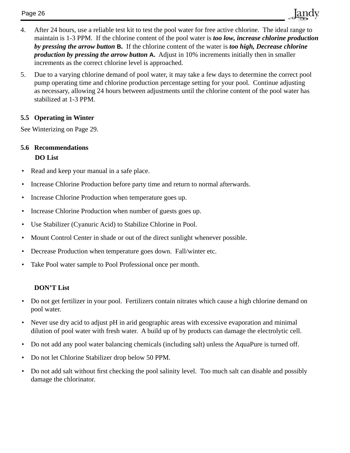4. After 24 hours, use a reliable test kit to test the pool water for free active chlorine. The ideal range to maintain is 1-3 PPM. If the chlorine content of the pool water is *too low, increase chlorine production by pressing the arrow button* **B.** If the chlorine content of the water is *too high, Decrease chlorine production by pressing the arrow button* **A.** Adjust in 10% increments initially then in smaller increments as the correct chlorine level is approached.

**Jandy** 

5. Due to a varying chlorine demand of pool water, it may take a few days to determine the correct pool pump operating time and chlorine production percentage setting for your pool. Continue adjusting as necessary, allowing 24 hours between adjustments until the chlorine content of the pool water has stabilized at 1-3 PPM.

### **5.5 Operating in Winter**

See Winterizing on Page 29.

### **5.6 Recommendations DO List**

- Read and keep your manual in a safe place.
- Increase Chlorine Production before party time and return to normal afterwards.
- Increase Chlorine Production when temperature goes up.
- Increase Chlorine Production when number of guests goes up.
- Use Stabilizer (Cyanuric Acid) to Stabilize Chlorine in Pool.
- Mount Control Center in shade or out of the direct sunlight whenever possible.
- Decrease Production when temperature goes down. Fall/winter etc.
- Take Pool water sample to Pool Professional once per month.

### **DON'T List**

- Do not get fertilizer in your pool. Fertilizers contain nitrates which cause a high chlorine demand on pool water.
- Never use dry acid to adjust pH in arid geographic areas with excessive evaporation and minimal dilution of pool water with fresh water. A build up of by products can damage the electrolytic cell.
- Do not add any pool water balancing chemicals (including salt) unless the AquaPure is turned off.
- Do not let Chlorine Stabilizer drop below 50 PPM.
- Do not add salt without first checking the pool salinity level. Too much salt can disable and possibly damage the chlorinator.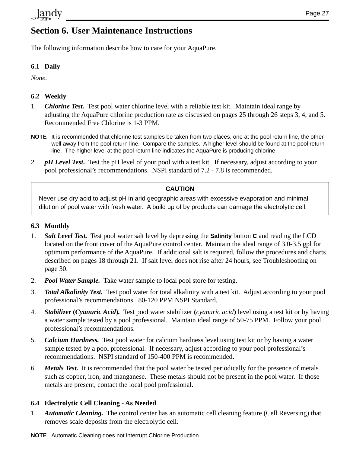# **Section 6. User Maintenance Instructions**

The following information describe how to care for your AquaPure.

### **6.1 Daily**

*None.*

### **6.2 Weekly**

- 1. *Chlorine Test.* Test pool water chlorine level with a reliable test kit. Maintain ideal range by adjusting the AquaPure chlorine production rate as discussed on pages 25 through 26 steps 3, 4, and 5. Recommended Free Chlorine is 1-3 PPM.
- **NOTE** It is recommended that chlorine test samples be taken from two places, one at the pool return line, the other well away from the pool return line. Compare the samples. A higher level should be found at the pool return line. The higher level at the pool return line indicates the AquaPure is producing chlorine.
- 2. *pH Level Test*. Test the pH level of your pool with a test kit. If necessary, adjust according to your pool professional's recommendations. NSPI standard of 7.2 - 7.8 is recommended.

### **CAUTION**

Never use dry acid to adjust pH in arid geographic areas with excessive evaporation and minimal dilution of pool water with fresh water. A build up of by products can damage the electrolytic cell.

### **6.3 Monthly**

- 1. *Salt Level Test.* Test pool water salt level by depressing the **Salinity** button **C** and reading the LCD located on the front cover of the AquaPure control center. Maintain the ideal range of 3.0-3.5 gpl for optimum performance of the AquaPure. If additional salt is required, follow the procedures and charts described on pages 18 through 21. If salt level does not rise after 24 hours, see Troubleshooting on page 30.
- 2. *Pool Water Sample.* Take water sample to local pool store for testing.
- 3. *Total Alkalinity Test.* Test pool water for total alkalinity with a test kit. Adjust according to your pool professional's recommendations. 80-120 PPM NSPI Standard.
- 4. *Stabilizer* **(***Cyanuric Acid***)***.* Test pool water stabilizer **(***cyanuric acid***)** level using a test kit or by having a water sample tested by a pool professional. Maintain ideal range of 50-75 PPM. Follow your pool professional's recommendations.
- 5. *Calcium Hardness.* Test pool water for calcium hardness level using test kit or by having a water sample tested by a pool professional. If necessary, adjust according to your pool professional's recommendations. NSPI standard of 150-400 PPM is recommended.
- 6. *Metals Test.* It is recommended that the pool water be tested periodically for the presence of metals such as copper, iron, and manganese. These metals should not be present in the pool water. If those metals are present, contact the local pool professional.

### **6.4 Electrolytic Cell Cleaning - As Needed**

- 1. *Automatic Cleaning.* The control center has an automatic cell cleaning feature (Cell Reversing) that removes scale deposits from the electrolytic cell.
- **NOTE** Automatic Cleaning does not interrupt Chlorine Production.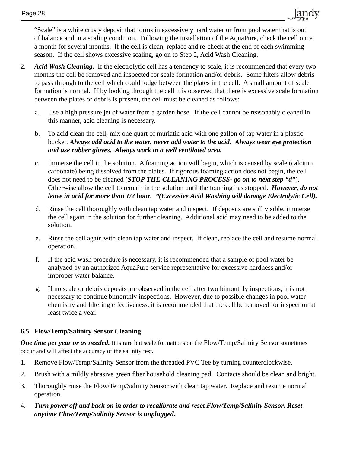"Scale" is a white crusty deposit that forms in excessively hard water or from pool water that is out of balance and in a scaling condition. Following the installation of the AquaPure, check the cell once a month for several months. If the cell is clean, replace and re-check at the end of each swimming season. If the cell shows excessive scaling, go on to Step 2, Acid Wash Cleaning.

**Jandy** 

- 2. *Acid Wash Cleaning.* If the electrolytic cell has a tendency to scale, it is recommended that every two months the cell be removed and inspected for scale formation and/or debris. Some filters allow debris to pass through to the cell which could lodge between the plates in the cell. A small amount of scale formation is normal. If by looking through the cell it is observed that there is excessive scale formation between the plates or debris is present, the cell must be cleaned as follows:
	- a. Use a high pressure jet of water from a garden hose. If the cell cannot be reasonably cleaned in this manner, acid cleaning is necessary.
	- b. To acid clean the cell, mix one quart of muriatic acid with one gallon of tap water in a plastic bucket. *Always add acid to the water, never add water to the acid. Always wear eye protection and use rubber gloves. Always work in a well ventilated area.*
	- c. Immerse the cell in the solution. A foaming action will begin, which is caused by scale (calcium carbonate) being dissolved from the plates. If rigorous foaming action does not begin, the cell does not need to be cleaned (*STOP THE CLEANING PROCESS- go on to next step "d"*). Otherwise allow the cell to remain in the solution until the foaming has stopped. *However, do not leave in acid for more than 1/2 hour. \*(Excessive Acid Washing will damage Electrolytic Cell).*
	- d. Rinse the cell thoroughly with clean tap water and inspect. If deposits are still visible, immerse the cell again in the solution for further cleaning. Additional acid may need to be added to the solution.
	- e. Rinse the cell again with clean tap water and inspect. If clean, replace the cell and resume normal operation.
	- f. If the acid wash procedure is necessary, it is recommended that a sample of pool water be analyzed by an authorized AquaPure service representative for excessive hardness and/or improper water balance.
	- g. If no scale or debris deposits are observed in the cell after two bimonthly inspections, it is not necessary to continue bimonthly inspections. However, due to possible changes in pool water chemistry and filtering effectiveness, it is recommended that the cell be removed for inspection at least twice a year.

### **6.5 Flow/Temp/Salinity Sensor Cleaning**

*One time per year or as needed.* It is rare but scale formations on the Flow/Temp/Salinity Sensor sometimes occur and will affect the accuracy of the salinity test.

- 1. Remove Flow/Temp/Salinity Sensor from the threaded PVC Tee by turning counterclockwise.
- 2. Brush with a mildly abrasive green fiber household cleaning pad. Contacts should be clean and bright.
- 3. Thoroughly rinse the Flow/Temp/Salinity Sensor with clean tap water. Replace and resume normal operation.
- 4. *Turn power off and back on in order to recalibrate and reset Flow/Temp/Salinity Sensor. Reset anytime Flow/Temp/Salinity Sensor is unplugged***.**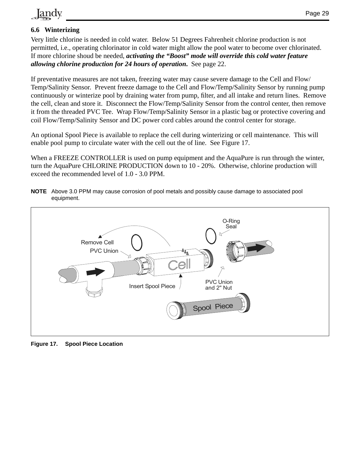

### **6.6 Winterizing**

Very little chlorine is needed in cold water. Below 51 Degrees Fahrenheit chlorine production is not permitted, i.e., operating chlorinator in cold water might allow the pool water to become over chlorinated. If more chlorine shoud be needed, *activating the "Boost" mode will override this cold water feature allowing chlorine production for 24 hours of operation***.** See page 22.

If preventative measures are not taken, freezing water may cause severe damage to the Cell and Flow/ Temp/Salinity Sensor. Prevent freeze damage to the Cell and Flow/Temp/Salinity Sensor by running pump continuously or winterize pool by draining water from pump, filter, and all intake and return lines. Remove the cell, clean and store it. Disconnect the Flow/Temp/Salinity Sensor from the control center, then remove it from the threaded PVC Tee. Wrap Flow/Temp/Salinity Sensor in a plastic bag or protective covering and coil Flow/Temp/Salinity Sensor and DC power cord cables around the control center for storage.

An optional Spool Piece is available to replace the cell during winterizing or cell maintenance. This will enable pool pump to circulate water with the cell out the of line. See Figure 17.

When a FREEZE CONTROLLER is used on pump equipment and the AquaPure is run through the winter, turn the AquaPure CHLORINE PRODUCTION down to 10 - 20%. Otherwise, chlorine production will exceed the recommended level of 1.0 - 3.0 PPM.





**Figure 17. Spool Piece Location**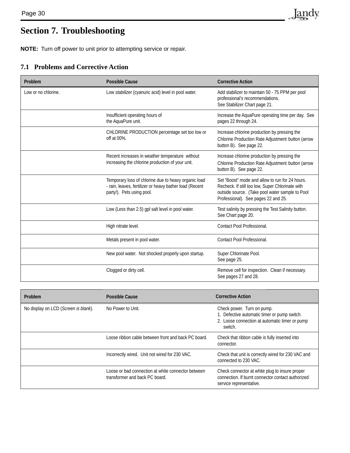# **Section 7. Troubleshooting**

**NOTE:** Turn off power to unit prior to attempting service or repair.

## **7.1 Problems and Corrective Action**

| Problem                                                                    | <b>Possible Cause</b>                                                                                                                        | <b>Corrective Action</b>                                                                                                                                                                      |
|----------------------------------------------------------------------------|----------------------------------------------------------------------------------------------------------------------------------------------|-----------------------------------------------------------------------------------------------------------------------------------------------------------------------------------------------|
| Low or no chlorine.<br>Low stabilizer (cyanuric acid) level in pool water. |                                                                                                                                              | Add stabilizer to maintain 50 - 75 PPM per pool<br>professional's recommendations.<br>See Stabilizer Chart page 21.                                                                           |
|                                                                            | Insufficient operating hours of<br>the AquaPure unit.                                                                                        | Increase the AquaPure operating time per day. See<br>pages 22 through 24.                                                                                                                     |
|                                                                            | CHLORINE PRODUCTION percentage set too low or<br>off at 00%.                                                                                 | Increase chlorine production by pressing the<br>Chlorine Production Rate Adjustment button (arrow<br>button B). See page 22.                                                                  |
|                                                                            | Recent increases in weather temperature without<br>increasing the chlorine production of your unit.                                          | Increase chlorine production by pressing the<br>Chlorine Production Rate Adjustment button (arrow<br>button B). See page 22.                                                                  |
|                                                                            | Temporary loss of chlorine due to heavy organic load<br>- rain, leaves, fertilizer or heavy bather load (Recent<br>party!). Pets using pool. | Set "Boost" mode and allow to run for 24 hours.<br>Recheck. If still too low, Super Chlorinate with<br>outside source. (Take pool water sample to Pool<br>Professional). See pages 22 and 25. |
|                                                                            | Low (Less than 2.5) gpl salt level in pool water.                                                                                            | Test salinity by pressing the Test Salinity button.<br>See Chart page 20.                                                                                                                     |
|                                                                            | High nitrate level.                                                                                                                          | Contact Pool Professional.                                                                                                                                                                    |
|                                                                            | Metals present in pool water.                                                                                                                | Contact Pool Professional.                                                                                                                                                                    |
|                                                                            | New pool water. Not shocked properly upon startup.                                                                                           | Super Chlorinate Pool.<br>See page 25.                                                                                                                                                        |
|                                                                            | Clogged or dirty cell.                                                                                                                       | Remove cell for inspection. Clean if necessary.<br>See pages 27 and 28.                                                                                                                       |
|                                                                            |                                                                                                                                              |                                                                                                                                                                                               |
| Problem                                                                    | <b>Possible Cause</b>                                                                                                                        | <b>Corrective Action</b>                                                                                                                                                                      |
| No display on LCD (Screen is blank).                                       | No Power to Unit.                                                                                                                            | Check power. Turn on pump.<br>1. Defective automatic timer or pump switch.<br>2. Loose connection at automatic timer or pump<br>switch.                                                       |
|                                                                            | Loose ribbon cable between front and back PC board.                                                                                          | Check that ribbon cable is fully inserted into<br>connector.                                                                                                                                  |

Jandy

| Incorrectly wired. Unit not wired for 230 VAC.                                       | Check that unit is correctly wired for 230 VAC and<br>connected to 230 VAC.                                                    |
|--------------------------------------------------------------------------------------|--------------------------------------------------------------------------------------------------------------------------------|
| Loose or bad connection at white connector between<br>transformer and back PC board. | Check connector at white plug to insure proper<br>connection. If burnt connector contact authorized<br>service representative. |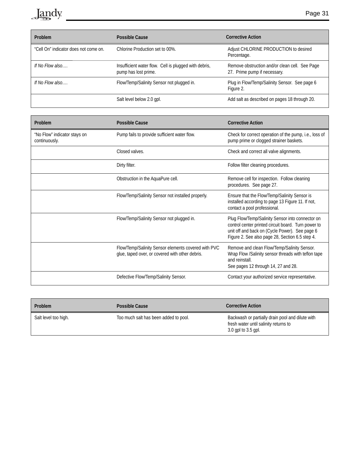

| Problem                                                                  | <b>Corrective Action</b><br>Possible Cause                                    |                                                                                |  |
|--------------------------------------------------------------------------|-------------------------------------------------------------------------------|--------------------------------------------------------------------------------|--|
| Chlorine Production set to 00%.<br>"Cell On" indicator does not come on. |                                                                               | Adjust CHLORINE PRODUCTION to desired<br>Percentage.                           |  |
| If No Flow also                                                          | Insufficient water flow. Cell is plugged with debris,<br>pump has lost prime. | Remove obstruction and/or clean cell. See Page<br>27. Prime pump if necessary. |  |
| If No Flow also<br>Flow/Temp/Salinity Sensor not plugged in.             |                                                                               | Plug in Flow/Temp/Salinity Sensor. See page 6<br>Figure 2.                     |  |
|                                                                          | Salt level below 2.0 gpl.                                                     | Add salt as described on pages 18 through 20.                                  |  |

| Problem<br>Possible Cause                     |                                                                                                        | <b>Corrective Action</b>                                                                                                                                                                                     |
|-----------------------------------------------|--------------------------------------------------------------------------------------------------------|--------------------------------------------------------------------------------------------------------------------------------------------------------------------------------------------------------------|
| "No Flow" indicator stays on<br>continuously. | Pump fails to provide sufficient water flow.                                                           | Check for correct operation of the pump, i.e., loss of<br>pump prime or clogged strainer baskets.                                                                                                            |
|                                               | Closed valves.                                                                                         | Check and correct all valve alignments.                                                                                                                                                                      |
|                                               | Dirty filter.                                                                                          | Follow filter cleaning procedures.                                                                                                                                                                           |
|                                               | Obstruction in the AquaPure cell.                                                                      | Remove cell for inspection. Follow cleaning<br>procedures. See page 27.                                                                                                                                      |
|                                               | Flow/Temp/Salinity Sensor not installed properly.                                                      | Ensure that the Flow/Temp/Salinity Sensor is<br>installed according to page 13 Figure 11. If not,<br>contact a pool professional.                                                                            |
|                                               | Flow/Temp/Salinity Sensor not plugged in.                                                              | Plug Flow/Temp/Salinity Sensor into connector on<br>control center printed circuit board. Turn power to<br>unit off and back on (Cycle Power). See page 6<br>Figure 2. See also page 28, Section 6.5 step 4. |
|                                               | Flow/Temp/Salinity Sensor elements covered with PVC<br>glue, taped over, or covered with other debris. | Remove and clean Flow/Temp/Salinity Sensor.<br>Wrap Flow /Salinity sensor threads with teflon tape<br>and reinstall.<br>See pages 12 through 14, 27 and 28.                                                  |
|                                               | Defective Flow/Temp/Salinity Sensor.                                                                   | Contact your authorized service representative.                                                                                                                                                              |

| <b>Problem</b>       | Possible Cause                        | <b>Corrective Action</b>                                                                                         |
|----------------------|---------------------------------------|------------------------------------------------------------------------------------------------------------------|
| Salt level too high. | Too much salt has been added to pool. | Backwash or partially drain pool and dilute with<br>fresh water until salinity returns to<br>3.0 gpl to 3.5 gpl. |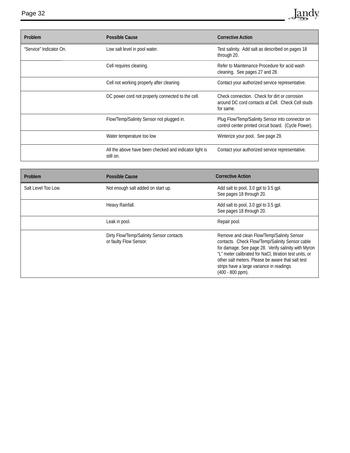

Water temperature too low Winterize your pool. See page 29. All the above have been checked and indicator light is still on. Contact your authorized service representative.

| <b>Problem</b><br>Possible Cause |                                                                                                         | <b>Corrective Action</b>                                                                                                                                                                                                                                                                                                               |
|----------------------------------|---------------------------------------------------------------------------------------------------------|----------------------------------------------------------------------------------------------------------------------------------------------------------------------------------------------------------------------------------------------------------------------------------------------------------------------------------------|
| Salt Level Too Low.              | Not enough salt added on start up.<br>Add salt to pool, 3.0 gpl to 3.5 gpl.<br>See pages 18 through 20. |                                                                                                                                                                                                                                                                                                                                        |
| Heavy Rainfall.                  |                                                                                                         | Add salt to pool, 3.0 gpl to 3.5 gpl.<br>See pages 18 through 20.                                                                                                                                                                                                                                                                      |
|                                  | Leak in pool.                                                                                           | Repair pool.                                                                                                                                                                                                                                                                                                                           |
|                                  | Dirty Flow/Temp/Salinity Sensor contacts<br>or faulty Flow Sensor.                                      | Remove and clean Flow/Temp/Salinity Sensor<br>contacts. Check Flow/Temp/Salinity Sensor cable<br>for damage. See page 28. Verify salinity with Myron<br>"L" meter calibrated for NaCl, titration test units, or<br>other salt meters. Please be aware that salt test<br>strips have a large variance in readings<br>$(400 - 800$ ppm). |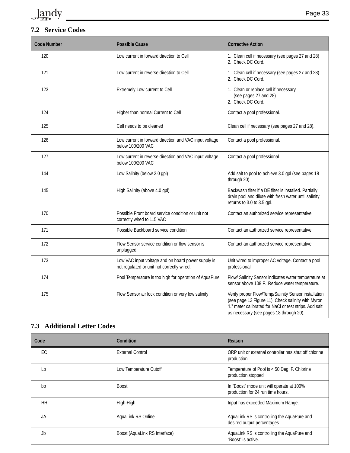

# **7.2 Service Codes**

| <b>Code Number</b> | <b>Possible Cause</b>                                                                            | <b>Corrective Action</b>                                                                                                                                                                                        |
|--------------------|--------------------------------------------------------------------------------------------------|-----------------------------------------------------------------------------------------------------------------------------------------------------------------------------------------------------------------|
| 120                | Low current in forward direction to Cell                                                         | 1. Clean cell if necessary (see pages 27 and 28)<br>2. Check DC Cord.                                                                                                                                           |
| 121                | Low current in reverse direction to Cell                                                         | 1. Clean cell if necessary (see pages 27 and 28)<br>2. Check DC Cord.                                                                                                                                           |
| 123                | Extremely Low current to Cell                                                                    | 1. Clean or replace cell if necessary<br>(see pages 27 and 28)<br>2. Check DC Cord.                                                                                                                             |
| 124                | Higher than normal Current to Cell                                                               | Contact a pool professional.                                                                                                                                                                                    |
| 125                | Cell needs to be cleaned                                                                         | Clean cell if necessary (see pages 27 and 28).                                                                                                                                                                  |
| 126                | Low current in forward direction and VAC input voltage<br>below 100/200 VAC                      | Contact a pool professional.                                                                                                                                                                                    |
| 127                | Low current in reverse direction and VAC input voltage<br>below 100/200 VAC                      | Contact a pool professional.                                                                                                                                                                                    |
| 144                | Low Salinity (below 2.0 gpl)                                                                     | Add salt to pool to achieve 3.0 gpl (see pages 18<br>through 20).                                                                                                                                               |
| 145                | High Salinity (above 4.0 gpl)                                                                    | Backwash filter if a DE filter is installed. Partially<br>drain pool and dilute with fresh water until salinity<br>returns to 3.0 to 3.5 gpl.                                                                   |
| 170                | Possible Front board service condition or unit not<br>correctly wired to 115 VAC                 | Contact an authorized service representative.                                                                                                                                                                   |
| 171                | Possible Backboard service condition                                                             | Contact an authorized service representative.                                                                                                                                                                   |
| 172                | Flow Sensor service condition or flow sensor is<br>unplugged                                     | Contact an authorized service representative.                                                                                                                                                                   |
| 173                | Low VAC input voltage and on board power supply is<br>not regulated or unit not correctly wired. | Unit wired to improper AC voltage. Contact a pool<br>professional.                                                                                                                                              |
| 174                | Pool Temperature is too high for operation of AquaPure                                           | Flow/ Salinity Sensor indicates water temperature at<br>sensor above 108 F. Reduce water temperature.                                                                                                           |
| 175                | Flow Sensor air lock condition or very low salinity                                              | Verify proper Flow/Temp/Salinity Sensor installation<br>(see page 13 Figure 11). Check salinity with Myron<br>"L" meter calibrated for NaCl or test strips. Add salt<br>as necessary (see pages 18 through 20). |

## **7.3 Additional Letter Codes**

| Code | Condition                                                                                    | Reason                                                                         |  |
|------|----------------------------------------------------------------------------------------------|--------------------------------------------------------------------------------|--|
| EC   | <b>External Control</b>                                                                      | ORP unit or external controller has shut off chlorine<br>production            |  |
| Lo   | Low Temperature Cutoff<br>Temperature of Pool is < 50 Deg. F. Chlorine<br>production stopped |                                                                                |  |
| bo   | <b>Boost</b>                                                                                 | In "Boost" mode unit will operate at 100%<br>production for 24 run time hours. |  |
| HH   | High-High                                                                                    | Input has exceeded Maximum Range.                                              |  |
| JA   | AquaLink RS Online                                                                           | AquaLink RS is controlling the AquaPure and<br>desired output percentages.     |  |
| Jb   | Boost (AquaLink RS Interface)                                                                | AquaLink RS is controlling the AquaPure and<br>"Boost" is active.              |  |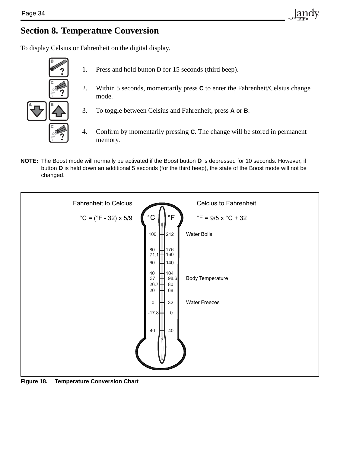# **Section 8. Temperature Conversion**

To display Celsius or Fahrenheit on the digital display.



- 1. Press and hold button **D** for 15 seconds (third beep).
- 2. Within 5 seconds, momentarily press **C** to enter the Fahrenheit/Celsius change mode.

Iandv

- 3. To toggle between Celsius and Fahrenheit, press **A** or **B**.
- 4. Confirm by momentarily pressing **C**. The change will be stored in permanent memory.
- **NOTE:** The Boost mode will normally be activated if the Boost button **D** is depressed for 10 seconds. However, if button **D** is held down an additional 5 seconds (for the third beep), the state of the Boost mode will not be changed.



**Figure 18. Temperature Conversion Chart**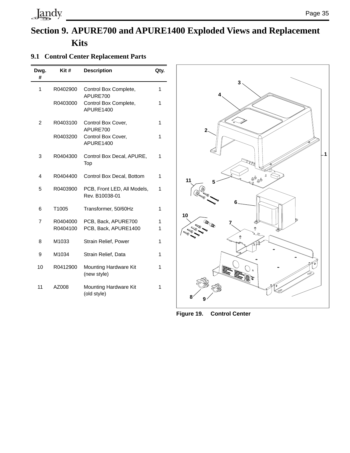# Jandy

# **Section 9. APURE700 and APURE1400 Exploded Views and Replacement Kits**

### **9.1 Control Center Replacement Parts**

| Dwg.<br># | Kit#                 | <b>Description</b>                            | Qty.   |
|-----------|----------------------|-----------------------------------------------|--------|
| 1         | R0402900             | Control Box Complete,<br>APURE700             | 1      |
|           | R0403000             | Control Box Complete,<br>APURE1400            | 1      |
| 2         | R0403100             | Control Box Cover,<br>APURE700                | 1      |
|           | R0403200             | Control Box Cover,<br>APURE1400               | 1      |
| 3         | R0404300             | Control Box Decal, APURE,<br>Top              | 1      |
| 4         | R0404400             | Control Box Decal, Bottom                     | 1      |
| 5         | R0403900             | PCB, Front LED, All Models,<br>Rev. B10038-01 | 1      |
| 6         | T1005                | Transformer, 50/60Hz                          | 1      |
| 7         | R0404000<br>R0404100 | PCB, Back, APURE700<br>PCB, Back, APURE1400   | 1<br>1 |
| 8         | M1033                | Strain Relief, Power                          | 1      |
| 9         | M1034                | Strain Relief, Data                           | 1      |
| 10        | R0412900             | Mounting Hardware Kit<br>(new style)          | 1      |
| 11        | AZ008                | Mounting Hardware Kit<br>(old style)          | 1      |
|           |                      |                                               |        |



**Figure 19. Control Center**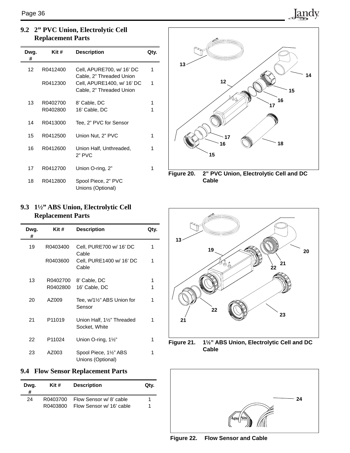### **9.2 2" PVC Union, Electrolytic Cell Replacement Parts**

| Dwg.<br># | Kit #    | <b>Description</b>                                     | Qty. |
|-----------|----------|--------------------------------------------------------|------|
| 12        | R0412400 | Cell, APURE700, w/ 16' DC<br>Cable, 2" Threaded Union  | 1    |
|           | R0412300 | Cell, APURE1400, w/ 16' DC<br>Cable, 2" Threaded Union | 1    |
| 13        | R0402700 | 8' Cable, DC                                           | 1    |
|           | R0402800 | 16' Cable, DC                                          |      |
| 14        | R0413000 | Tee, 2" PVC for Sensor                                 |      |
| 15        | R0412500 | Union Nut, 2" PVC                                      | 1    |
| 16        | R0412600 | Union Half, Unthreaded,<br>2" PVC                      | 1    |
| 17        | R0412700 | Union O-ring, 2"                                       |      |
| 18        | R0412800 | Spool Piece, 2" PVC<br>Unions (Optional)               |      |

### **9.3 1½" ABS Union, Electrolytic Cell Replacement Parts**

| Dwg.<br># | Kit#               | <b>Description</b>                        | Qty. |
|-----------|--------------------|-------------------------------------------|------|
| 19        | R0403400           | Cell, PURE700 w/ 16' DC<br>Cable          | 1    |
|           | R0403600           | Cell, PURE1400 w/ 16' DC<br>Cable         | 1    |
| 13        | R0402700           | 8' Cable, DC                              | 1    |
|           | R0402800           | 16' Cable, DC                             | 1    |
| 20        | AZ009              | Tee, w/1½" ABS Union for<br>Sensor        | 1    |
| 21        | P <sub>11019</sub> | Union Half, 1½" Threaded<br>Socket, White | 1    |
| 22        | P11024             | Union O-ring, $1\frac{1}{2}$ "            | 1    |
| 23        | AZ003              | Spool Piece, 1½" ABS<br>Unions (Optional) | 1    |

### **9.4 Flow Sensor Replacement Parts**

| Dwg.<br># | $K$ it#  | <b>Description</b>              | Qtv. |
|-----------|----------|---------------------------------|------|
| 24        |          | R0403700 Flow Sensor w/8' cable |      |
|           | R0403800 | Flow Sensor w/ 16' cable        |      |



Jandy

**Figure 20. 2" PVC Union, Electrolytic Cell and DC Cable** 



**Cable** 



**Figure 22. Flow Sensor and Cable**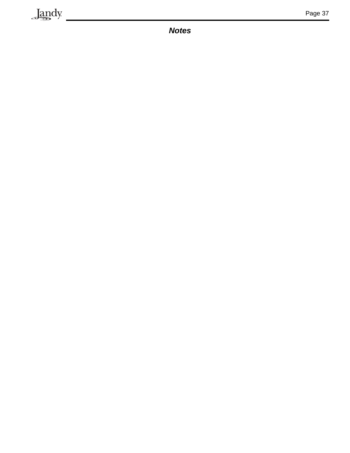

*Notes*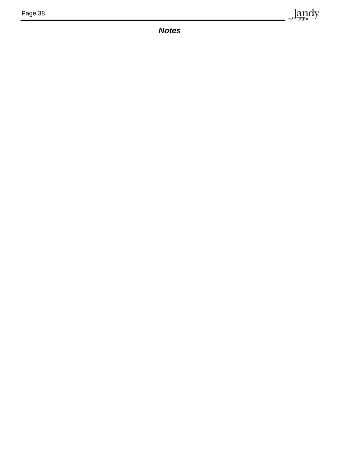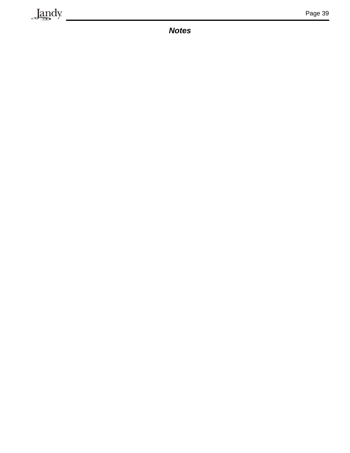

*Notes*